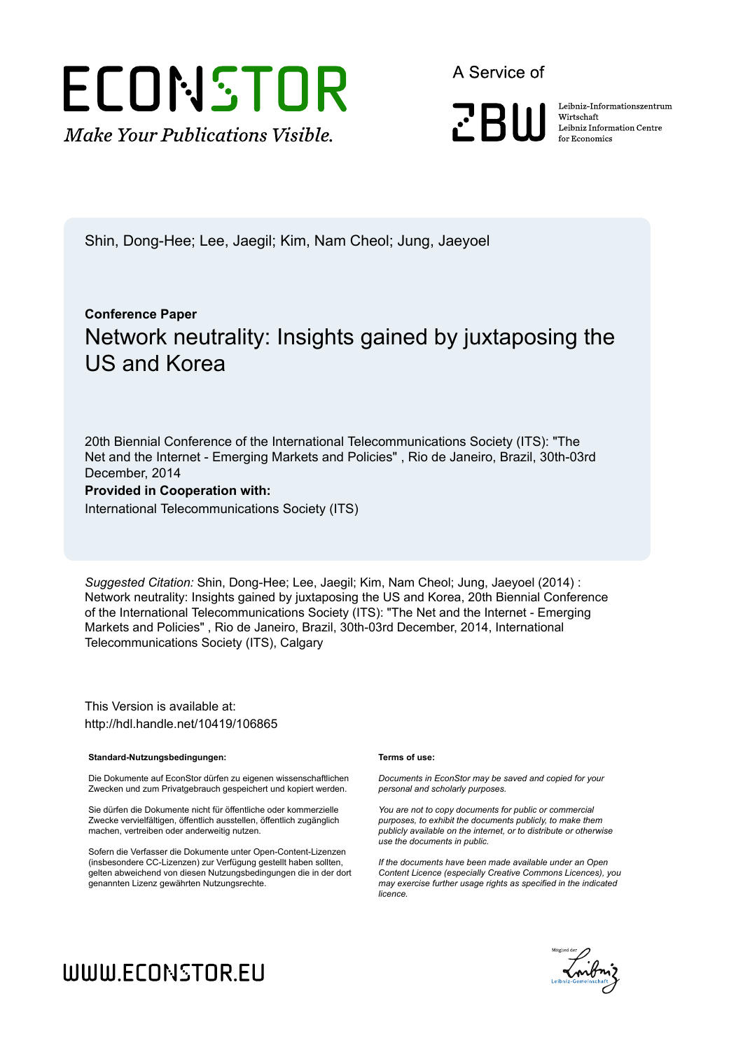# ECONSTOR **Make Your Publications Visible.**

A Service of

**PBII** 

Leibniz Informationszentrum Wirtschaft Leibniz Information Centre for Economics

Shin, Dong-Hee; Lee, Jaegil; Kim, Nam Cheol; Jung, Jaeyoel

# **Conference Paper** Network neutrality: Insights gained by juxtaposing the US and Korea

20th Biennial Conference of the International Telecommunications Society (ITS): "The Net and the Internet - Emerging Markets and Policies" , Rio de Janeiro, Brazil, 30th-03rd December, 2014

# **Provided in Cooperation with:**

International Telecommunications Society (ITS)

*Suggested Citation:* Shin, Dong-Hee; Lee, Jaegil; Kim, Nam Cheol; Jung, Jaeyoel (2014) : Network neutrality: Insights gained by juxtaposing the US and Korea, 20th Biennial Conference of the International Telecommunications Society (ITS): "The Net and the Internet - Emerging Markets and Policies" , Rio de Janeiro, Brazil, 30th-03rd December, 2014, International Telecommunications Society (ITS), Calgary

This Version is available at: http://hdl.handle.net/10419/106865

#### **Standard-Nutzungsbedingungen:**

Die Dokumente auf EconStor dürfen zu eigenen wissenschaftlichen Zwecken und zum Privatgebrauch gespeichert und kopiert werden.

Sie dürfen die Dokumente nicht für öffentliche oder kommerzielle Zwecke vervielfältigen, öffentlich ausstellen, öffentlich zugänglich machen, vertreiben oder anderweitig nutzen.

Sofern die Verfasser die Dokumente unter Open-Content-Lizenzen (insbesondere CC-Lizenzen) zur Verfügung gestellt haben sollten, gelten abweichend von diesen Nutzungsbedingungen die in der dort genannten Lizenz gewährten Nutzungsrechte.

#### **Terms of use:**

*Documents in EconStor may be saved and copied for your personal and scholarly purposes.*

*You are not to copy documents for public or commercial purposes, to exhibit the documents publicly, to make them publicly available on the internet, or to distribute or otherwise use the documents in public.*

*If the documents have been made available under an Open Content Licence (especially Creative Commons Licences), you may exercise further usage rights as specified in the indicated licence.*



# WWW.ECONSTOR.EU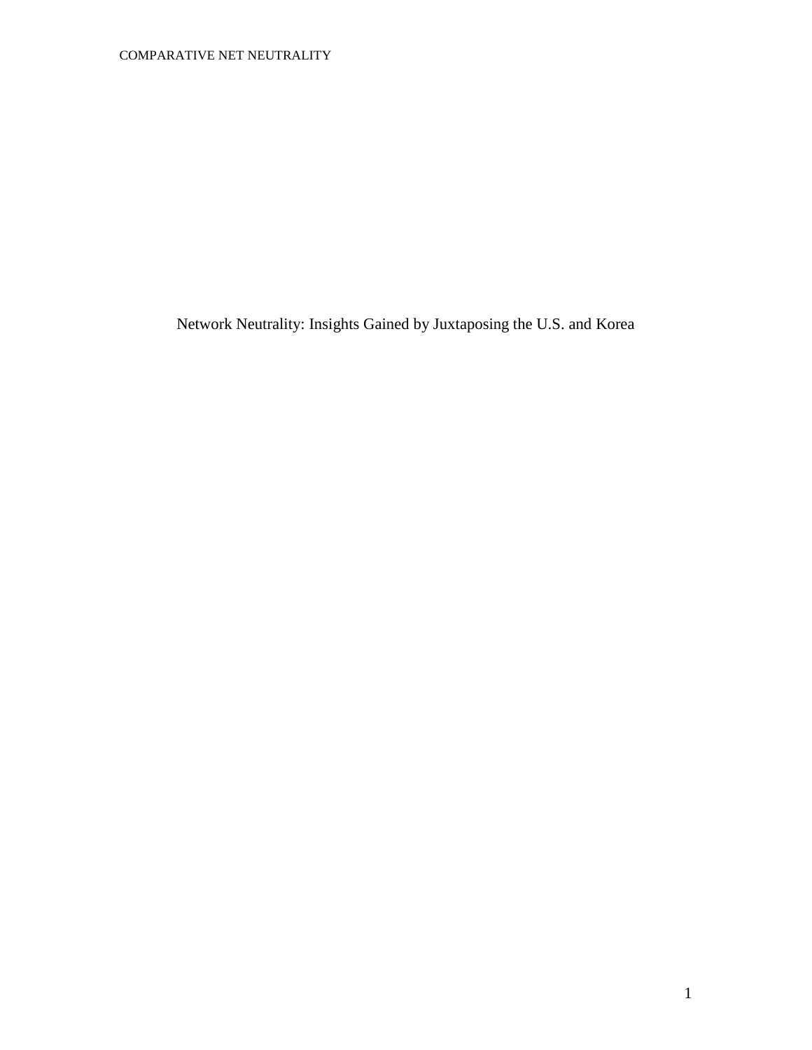Network Neutrality: Insights Gained by Juxtaposing the U.S. and Korea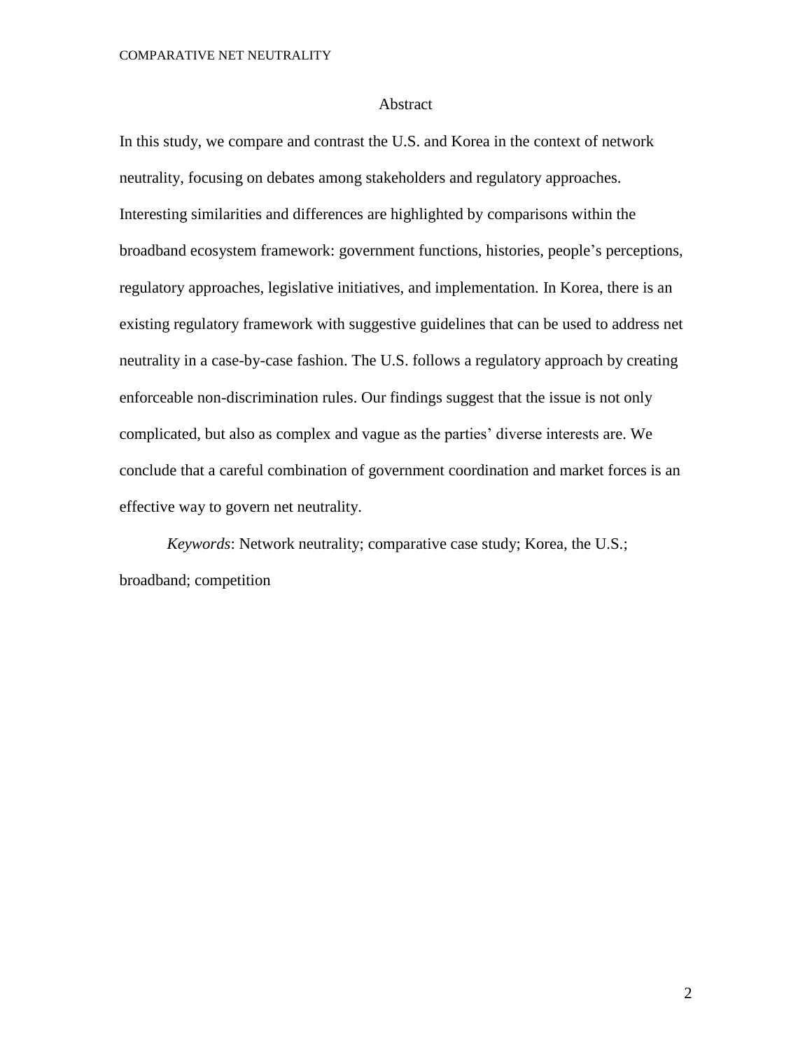#### Abstract

In this study, we compare and contrast the U.S. and Korea in the context of network neutrality, focusing on debates among stakeholders and regulatory approaches. Interesting similarities and differences are highlighted by comparisons within the broadband ecosystem framework: government functions, histories, people's perceptions, regulatory approaches, legislative initiatives, and implementation. In Korea, there is an existing regulatory framework with suggestive guidelines that can be used to address net neutrality in a case-by-case fashion. The U.S. follows a regulatory approach by creating enforceable non-discrimination rules. Our findings suggest that the issue is not only complicated, but also as complex and vague as the parties' diverse interests are. We conclude that a careful combination of government coordination and market forces is an effective way to govern net neutrality.

*Keywords*: Network neutrality; comparative case study; Korea, the U.S.; broadband; competition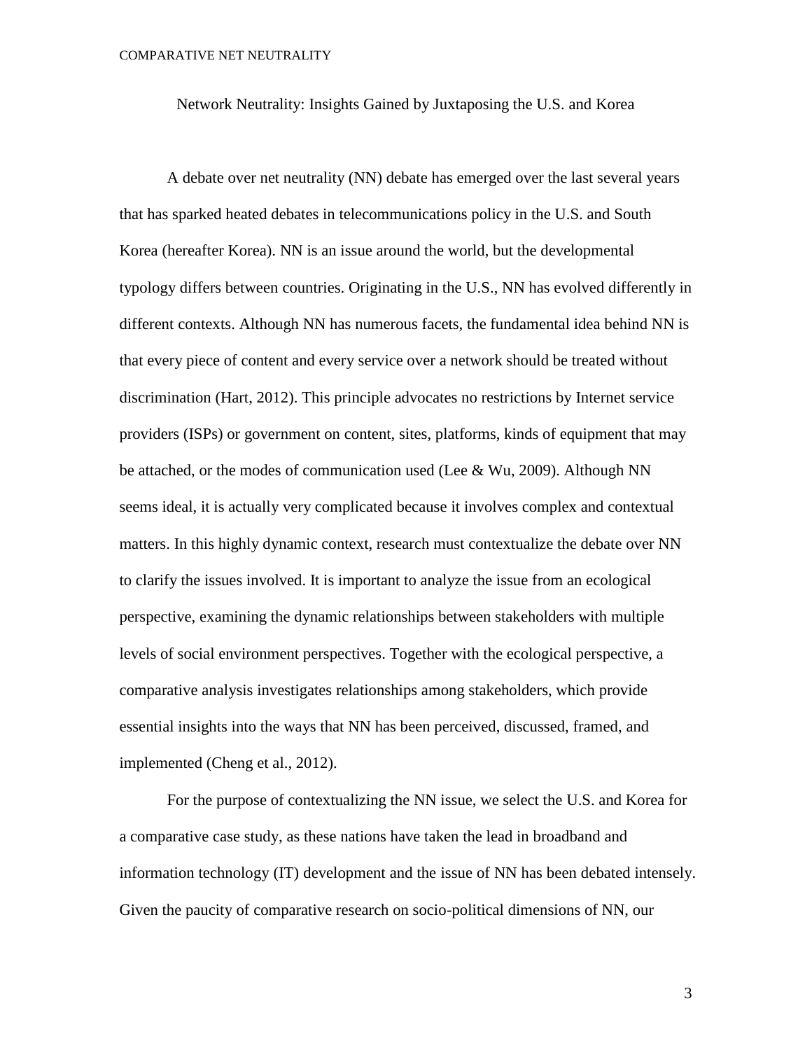Network Neutrality: Insights Gained by Juxtaposing the U.S. and Korea

A debate over net neutrality (NN) debate has emerged over the last several years that has sparked heated debates in telecommunications policy in the U.S. and South Korea (hereafter Korea). NN is an issue around the world, but the developmental typology differs between countries. Originating in the U.S., NN has evolved differently in different contexts. Although NN has numerous facets, the fundamental idea behind NN is that every piece of content and every service over a network should be treated without discrimination (Hart, 2012). This principle advocates no restrictions by Internet service providers (ISPs) or government on content, sites, platforms, kinds of equipment that may be attached, or the modes of communication used (Lee & Wu, 2009). Although NN seems ideal, it is actually very complicated because it involves complex and contextual matters. In this highly dynamic context, research must contextualize the debate over NN to clarify the issues involved. It is important to analyze the issue from an ecological perspective, examining the dynamic relationships between stakeholders with multiple levels of social environment perspectives. Together with the ecological perspective, a comparative analysis investigates relationships among stakeholders, which provide essential insights into the ways that NN has been perceived, discussed, framed, and implemented (Cheng et al., 2012).

For the purpose of contextualizing the NN issue, we select the U.S. and Korea for a comparative case study, as these nations have taken the lead in broadband and information technology (IT) development and the issue of NN has been debated intensely. Given the paucity of comparative research on socio-political dimensions of NN, our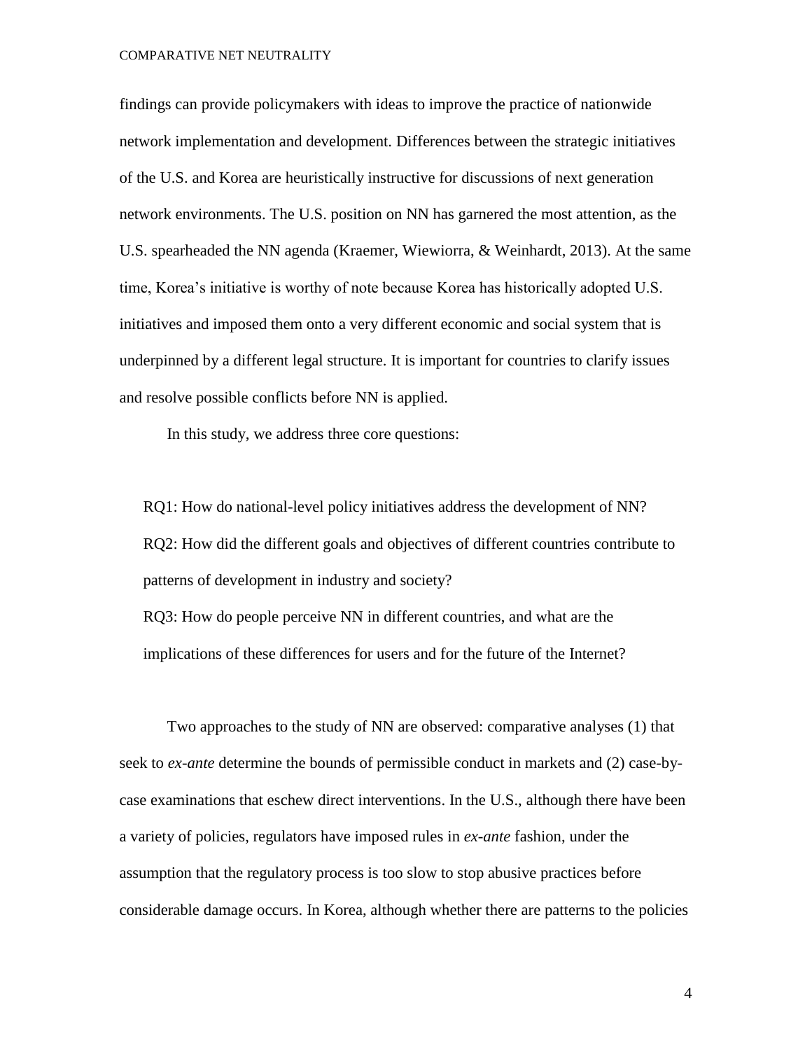findings can provide policymakers with ideas to improve the practice of nationwide network implementation and development. Differences between the strategic initiatives of the U.S. and Korea are heuristically instructive for discussions of next generation network environments. The U.S. position on NN has garnered the most attention, as the U.S. spearheaded the NN agenda (Kraemer, Wiewiorra, & Weinhardt, 2013). At the same time, Korea's initiative is worthy of note because Korea has historically adopted U.S. initiatives and imposed them onto a very different economic and social system that is underpinned by a different legal structure. It is important for countries to clarify issues and resolve possible conflicts before NN is applied.

In this study, we address three core questions:

RQ1: How do national-level policy initiatives address the development of NN? RQ2: How did the different goals and objectives of different countries contribute to patterns of development in industry and society?

RQ3: How do people perceive NN in different countries, and what are the implications of these differences for users and for the future of the Internet?

Two approaches to the study of NN are observed: comparative analyses (1) that seek to *ex-ante* determine the bounds of permissible conduct in markets and (2) case-bycase examinations that eschew direct interventions. In the U.S., although there have been a variety of policies, regulators have imposed rules in *ex-ante* fashion, under the assumption that the regulatory process is too slow to stop abusive practices before considerable damage occurs. In Korea, although whether there are patterns to the policies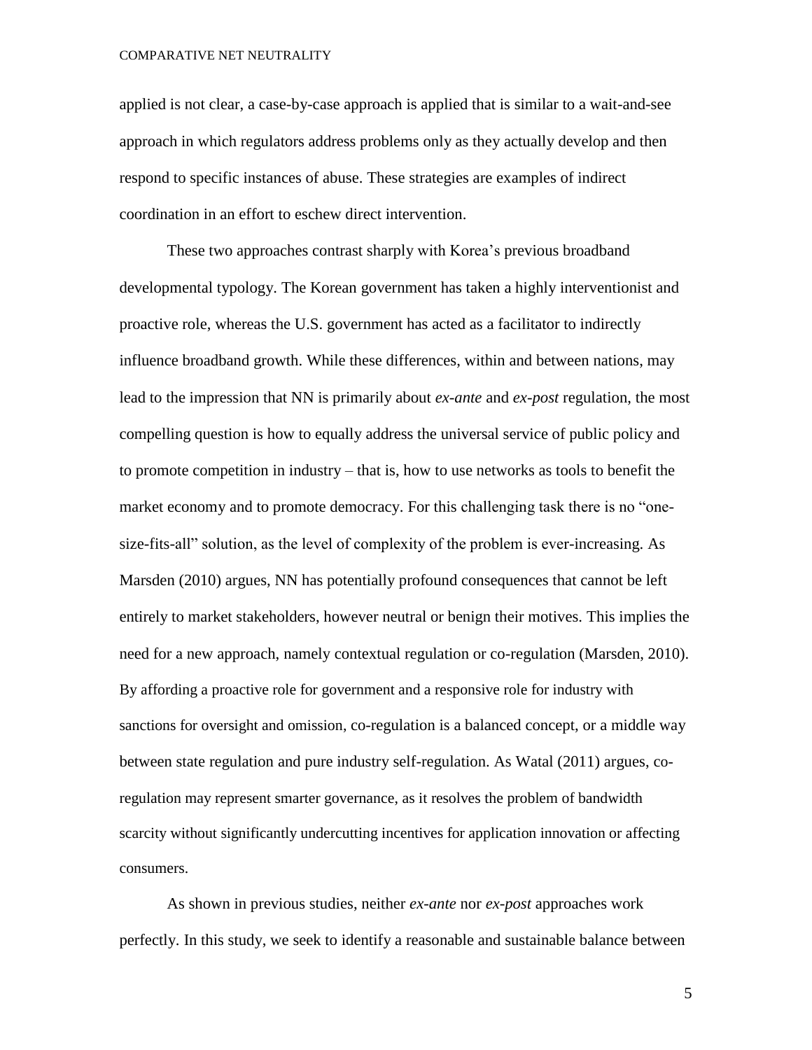applied is not clear, a case-by-case approach is applied that is similar to a wait-and-see approach in which regulators address problems only as they actually develop and then respond to specific instances of abuse. These strategies are examples of indirect coordination in an effort to eschew direct intervention.

These two approaches contrast sharply with Korea's previous broadband developmental typology. The Korean government has taken a highly interventionist and proactive role, whereas the U.S. government has acted as a facilitator to indirectly influence broadband growth. While these differences, within and between nations, may lead to the impression that NN is primarily about *ex-ante* and *ex-post* regulation, the most compelling question is how to equally address the universal service of public policy and to promote competition in industry – that is, how to use networks as tools to benefit the market economy and to promote democracy. For this challenging task there is no "onesize-fits-all" solution, as the level of complexity of the problem is ever-increasing. As Marsden (2010) argues, NN has potentially profound consequences that cannot be left entirely to market stakeholders, however neutral or benign their motives. This implies the need for a new approach, namely contextual regulation or co-regulation (Marsden, 2010). By affording a proactive role for government and a responsive role for industry with sanctions for oversight and omission, co-regulation is a balanced concept, or a middle way between state regulation and pure industry self-regulation. As Watal (2011) argues, coregulation may represent smarter governance, as it resolves the problem of bandwidth scarcity without significantly undercutting incentives for application innovation or affecting consumers.

As shown in previous studies, neither *ex-ante* nor *ex-post* approaches work perfectly. In this study, we seek to identify a reasonable and sustainable balance between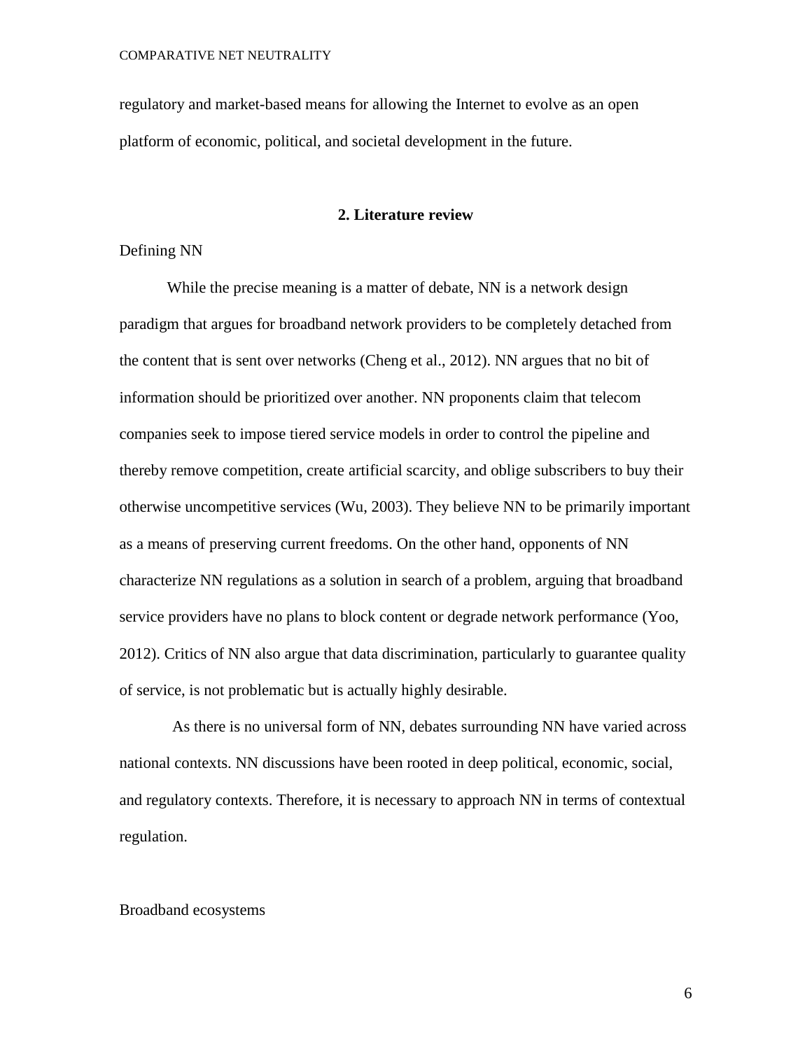regulatory and market-based means for allowing the Internet to evolve as an open platform of economic, political, and societal development in the future.

#### **2. Literature review**

#### Defining NN

While the precise meaning is a matter of debate, NN is a network design paradigm that argues for broadband network providers to be completely detached from the content that is sent over networks (Cheng et al., 2012). NN argues that no bit of information should be prioritized over another. NN proponents claim that telecom companies seek to impose tiered service models in order to control the pipeline and thereby remove competition, create [artificial scarcity,](http://en.wikipedia.org/wiki/Artificial_scarcity) and oblige subscribers to buy their otherwise uncompetitive services (Wu, 2003). They believe NN to be primarily important as a means of preserving current freedoms. On the other hand, opponents of NN characterize NN regulations as a solution in search of a problem, arguing that broadband service providers have no plans to block content or degrade network performance (Yoo, 2012). Critics of NN also argue that data discrimination, particularly to guarantee [quality](http://en.wikipedia.org/wiki/Quality_of_service)  [of service,](http://en.wikipedia.org/wiki/Quality_of_service) is not problematic but is actually highly desirable.

As there is no universal form of NN, debates surrounding NN have varied across national contexts. NN discussions have been rooted in deep political, economic, social, and regulatory contexts. Therefore, it is necessary to approach NN in terms of contextual regulation.

#### Broadband ecosystems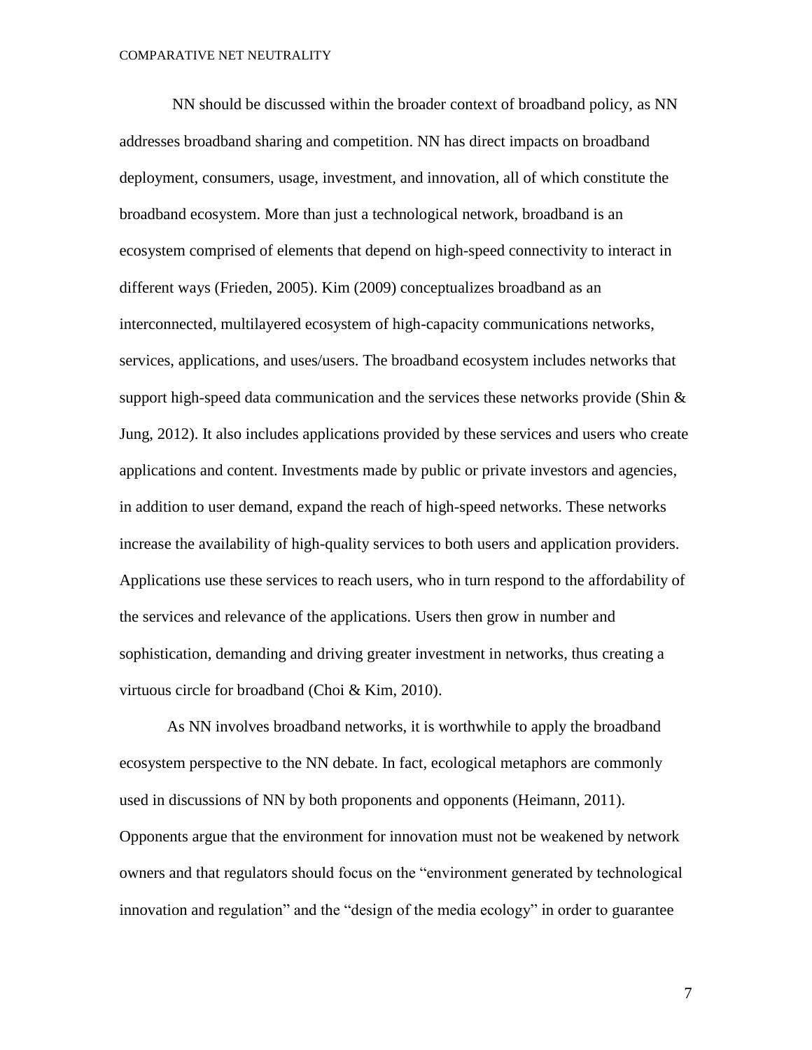NN should be discussed within the broader context of broadband policy, as NN addresses broadband sharing and competition. NN has direct impacts on broadband deployment, consumers, usage, investment, and innovation, all of which constitute the broadband ecosystem. More than just a technological network, broadband is an ecosystem comprised of elements that depend on high-speed connectivity to interact in different ways (Frieden, 2005). Kim (2009) conceptualizes broadband as an interconnected, multilayered ecosystem of high-capacity communications networks, services, applications, and uses/users. The broadband ecosystem includes networks that support high-speed data communication and the services these networks provide (Shin  $\&$ Jung, 2012). It also includes applications provided by these services and users who create applications and content. Investments made by public or private investors and agencies, in addition to user demand, expand the reach of high-speed networks. These networks increase the availability of high-quality services to both users and application providers. Applications use these services to reach users, who in turn respond to the affordability of the services and relevance of the applications. Users then grow in number and sophistication, demanding and driving greater investment in networks, thus creating a virtuous circle for broadband (Choi & Kim, 2010).

As NN involves broadband networks, it is worthwhile to apply the broadband ecosystem perspective to the NN debate. In fact, ecological metaphors are commonly used in discussions of NN by both proponents and opponents (Heimann, 2011). Opponents argue that the environment for innovation must not be weakened by network owners and that regulators should focus on the "environment generated by technological innovation and regulation" and the "design of the media ecology" in order to guarantee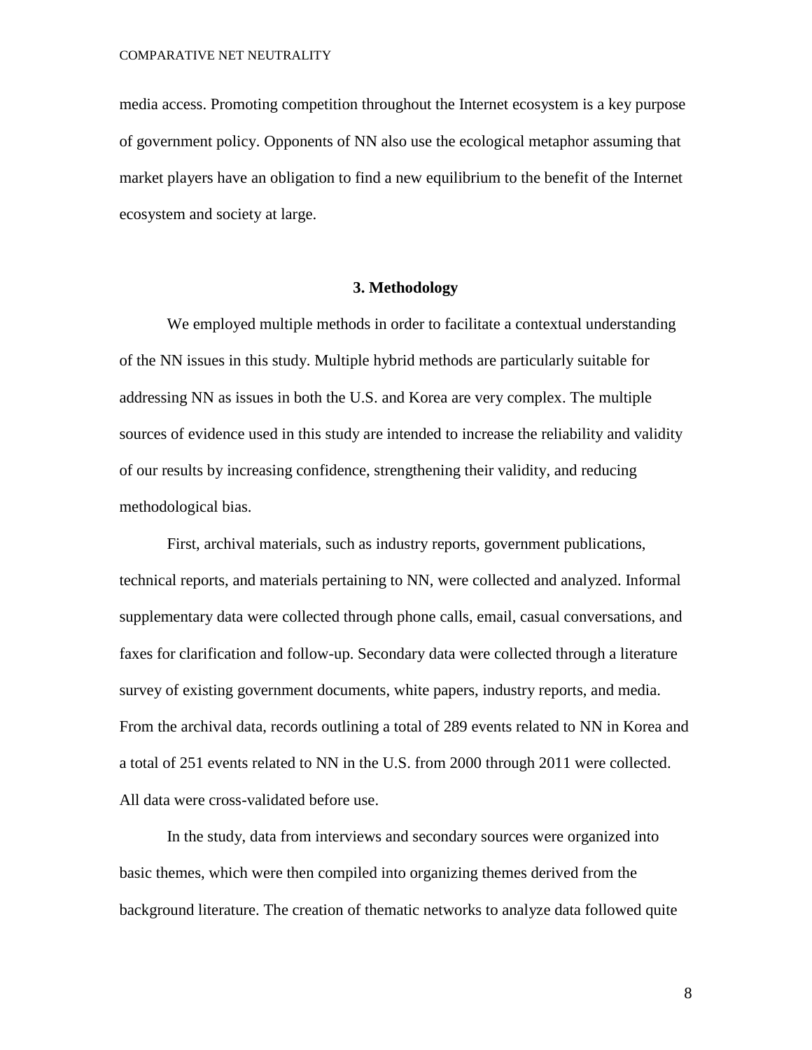media access. Promoting competition throughout the Internet ecosystem is a key purpose of government policy. Opponents of NN also use the ecological metaphor assuming that market players have an obligation to find a new equilibrium to the benefit of the Internet ecosystem and society at large.

#### **3. Methodology**

We employed multiple methods in order to facilitate a contextual understanding of the NN issues in this study. Multiple hybrid methods are particularly suitable for addressing NN as issues in both the U.S. and Korea are very complex. The multiple sources of evidence used in this study are intended to increase the reliability and validity of our results by increasing confidence, strengthening their validity, and reducing methodological bias.

First, archival materials, such as industry reports, government publications, technical reports, and materials pertaining to NN, were collected and analyzed. Informal supplementary data were collected through phone calls, email, casual conversations, and faxes for clarification and follow-up. Secondary data were collected through a literature survey of existing government documents, white papers, industry reports, and media. From the archival data, records outlining a total of 289 events related to NN in Korea and a total of 251 events related to NN in the U.S. from 2000 through 2011 were collected. All data were cross-validated before use.

In the study, data from interviews and secondary sources were organized into basic themes, which were then compiled into organizing themes derived from the background literature. The creation of thematic networks to analyze data followed quite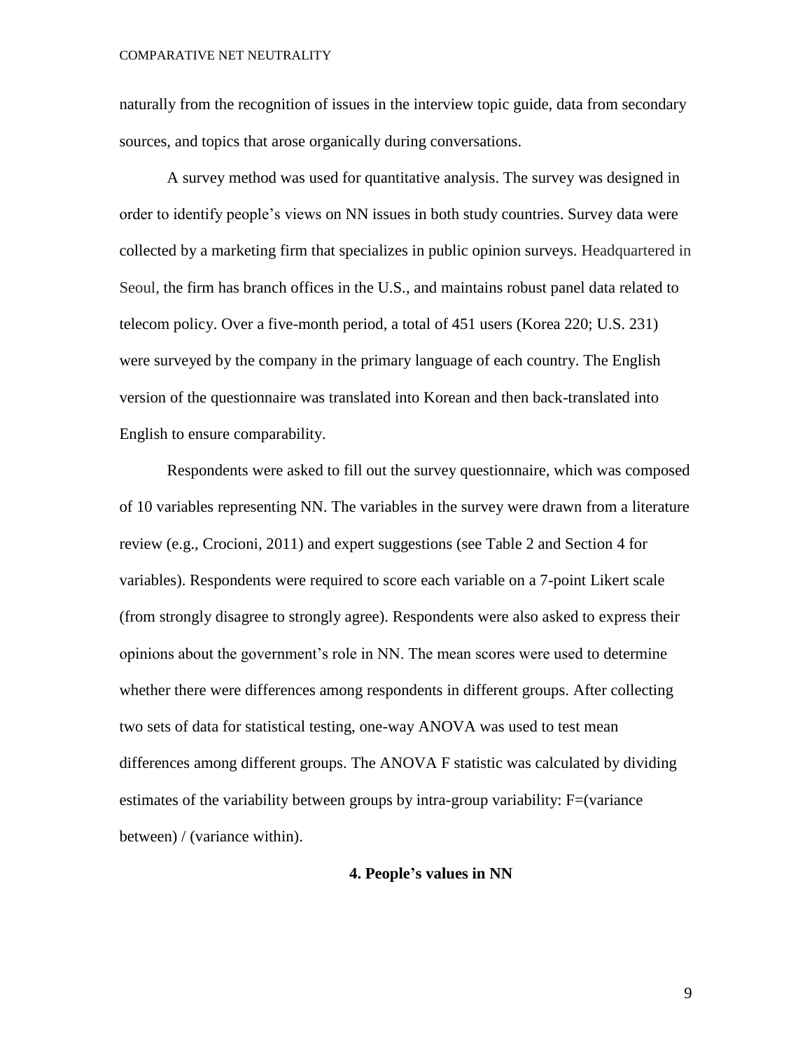naturally from the recognition of issues in the interview topic guide, data from secondary sources, and topics that arose organically during conversations.

A survey method was used for quantitative analysis. The survey was designed in order to identify people's views on NN issues in both study countries. Survey data were collected by a marketing firm that specializes in public opinion surveys. Headquartered in Seoul, the firm has branch offices in the U.S., and maintains robust panel data related to telecom policy. Over a five-month period, a total of 451 users (Korea 220; U.S. 231) were surveyed by the company in the primary language of each country. The English version of the questionnaire was translated into Korean and then back-translated into English to ensure comparability.

Respondents were asked to fill out the survey questionnaire, which was composed of 10 variables representing NN. The variables in the survey were drawn from a literature review (e.g., Crocioni, 2011) and expert suggestions (see Table 2 and Section 4 for variables). Respondents were required to score each variable on a 7-point Likert scale (from strongly disagree to strongly agree). Respondents were also asked to express their opinions about the government's role in NN. The mean scores were used to determine whether there were differences among respondents in different groups. After collecting two sets of data for statistical testing, one-way ANOVA was used to test mean differences among different groups. The ANOVA F statistic was calculated by dividing estimates of the variability between groups by intra-group variability: F=(variance between) / (variance within).

#### **4. People's values in NN**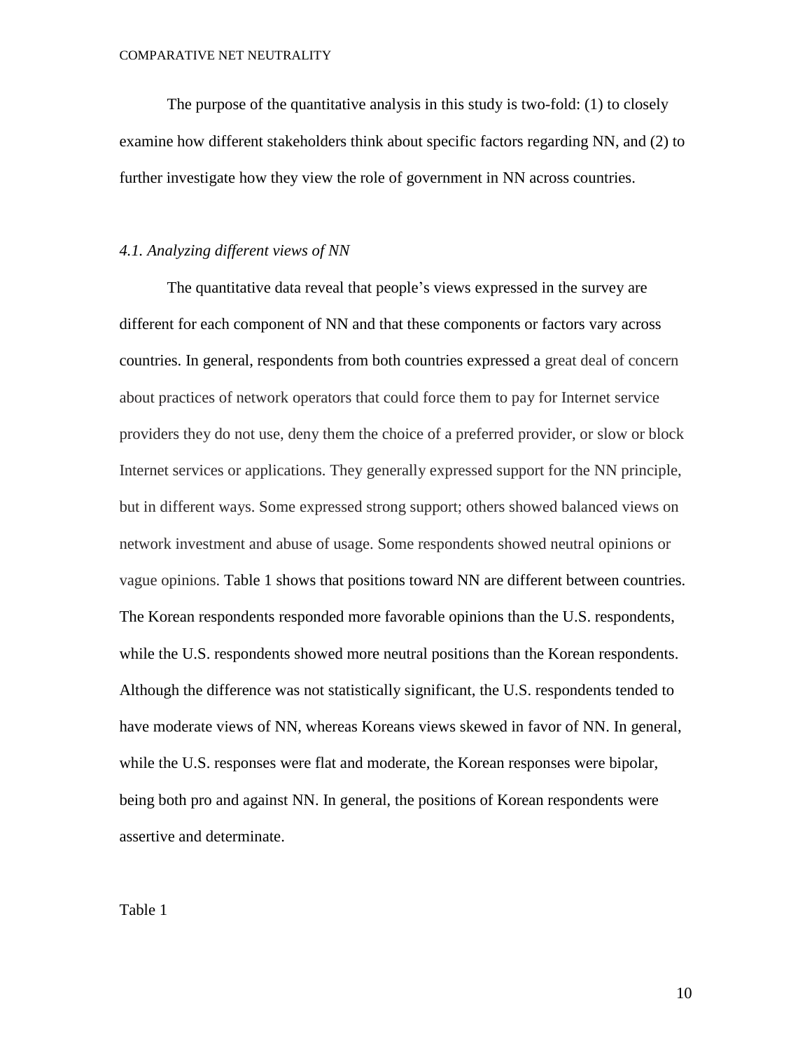The purpose of the quantitative analysis in this study is two-fold: (1) to closely examine how different stakeholders think about specific factors regarding NN, and (2) to further investigate how they view the role of government in NN across countries.

#### *4.1. Analyzing different views of NN*

The quantitative data reveal that people's views expressed in the survey are different for each component of NN and that these components or factors vary across countries. In general, respondents from both countries expressed a great deal of concern about practices of network operators that could force them to pay for Internet service providers they do not use, deny them the choice of a preferred provider, or slow or block Internet services or applications. They generally expressed support for the NN principle, but in different ways. Some expressed strong support; others showed balanced views on network investment and abuse of usage. Some respondents showed neutral opinions or vague opinions. Table 1 shows that positions toward NN are different between countries. The Korean respondents responded more favorable opinions than the U.S. respondents, while the U.S. respondents showed more neutral positions than the Korean respondents. Although the difference was not statistically significant, the U.S. respondents tended to have moderate views of NN, whereas Koreans views skewed in favor of NN. In general, while the U.S. responses were flat and moderate, the Korean responses were bipolar, being both pro and against NN. In general, the positions of Korean respondents were assertive and determinate.

Table 1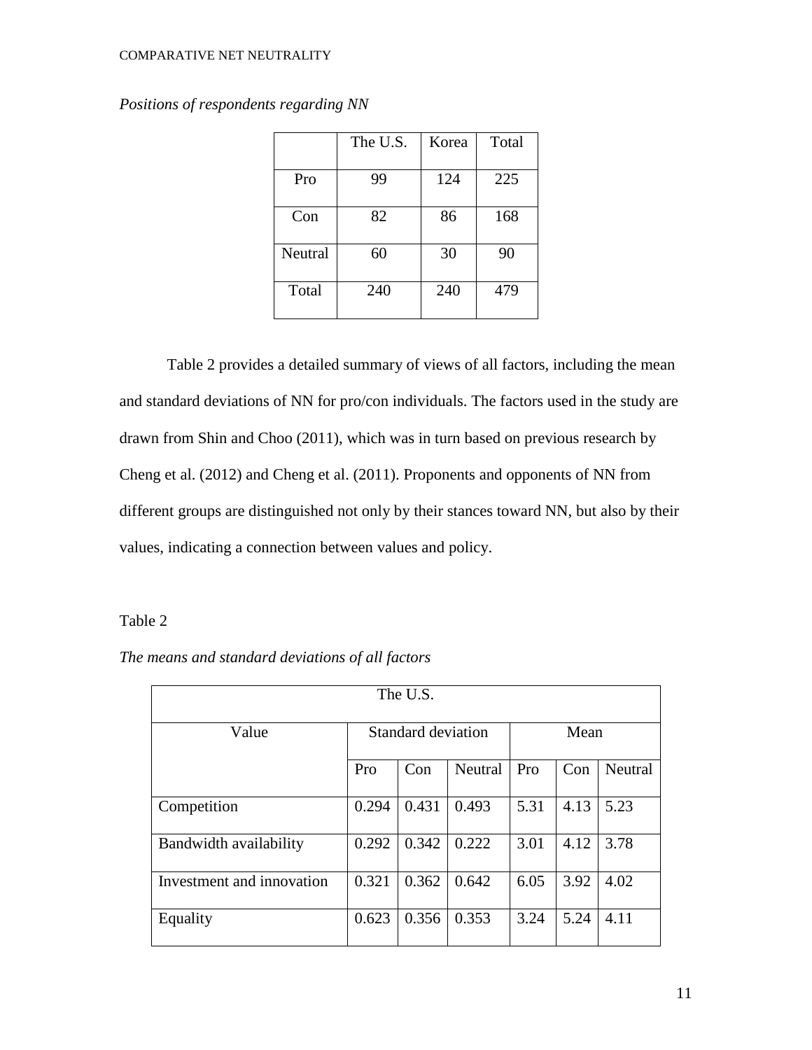|         | The U.S. | Korea | Total |
|---------|----------|-------|-------|
| Pro     | 99       | 124   | 225   |
| Con     | 82       | 86    | 168   |
| Neutral | 60       | 30    | 90    |
| Total   | 240      | 240   | 479   |

*Positions of respondents regarding NN*

Table 2 provides a detailed summary of views of all factors, including the mean and standard deviations of NN for pro/con individuals. The factors used in the study are drawn from Shin and Choo (2011), which was in turn based on previous research by Cheng et al. (2012) and Cheng et al. (2011). Proponents and opponents of NN from different groups are distinguished not only by their stances toward NN, but also by their values, indicating a connection between values and policy.

# Table 2

| The means and standard deviations of all factors |  |  |
|--------------------------------------------------|--|--|
|--------------------------------------------------|--|--|

| The U.S.                  |       |                    |         |      |      |         |  |
|---------------------------|-------|--------------------|---------|------|------|---------|--|
| Value                     |       | Standard deviation | Mean    |      |      |         |  |
|                           | Pro   | Con                | Neutral | Pro  | Con  | Neutral |  |
| Competition               | 0.294 | 0.431              | 0.493   | 5.31 | 4.13 | 5.23    |  |
| Bandwidth availability    | 0.292 | 0.342              | 0.222   | 3.01 | 4.12 | 3.78    |  |
| Investment and innovation | 0.321 | 0.362              | 0.642   | 6.05 | 3.92 | 4.02    |  |
| Equality                  | 0.623 | 0.356              | 0.353   | 3.24 | 5.24 | 4.11    |  |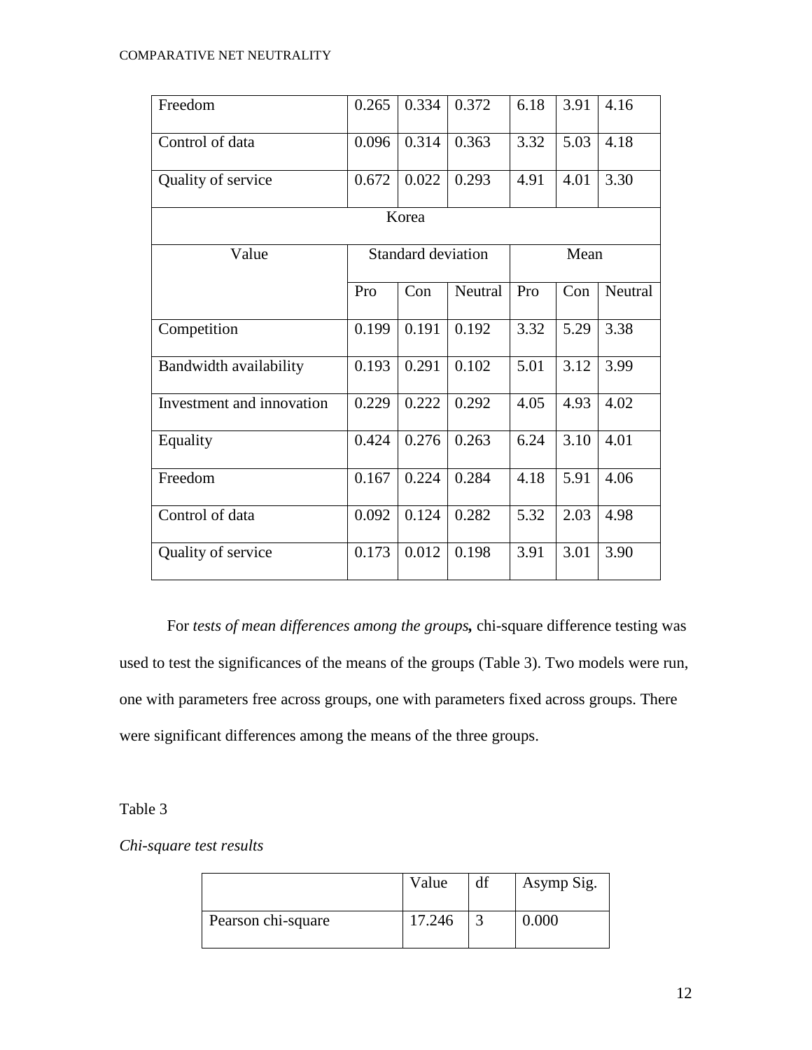| Freedom                   | 0.265 | 0.334                     | 0.372          | 6.18 | 3.91 | 4.16    |
|---------------------------|-------|---------------------------|----------------|------|------|---------|
| Control of data           | 0.096 | 0.314                     | 0.363          | 3.32 | 5.03 | 4.18    |
| Quality of service        | 0.672 | 0.022                     | 0.293          | 4.91 | 4.01 | 3.30    |
|                           |       | Korea                     |                |      |      |         |
| Value                     |       | <b>Standard deviation</b> |                | Mean |      |         |
|                           | Pro   | Con                       | <b>Neutral</b> | Pro  | Con  | Neutral |
| Competition               | 0.199 | 0.191                     | 0.192          | 3.32 | 5.29 | 3.38    |
| Bandwidth availability    | 0.193 | 0.291                     | 0.102          | 5.01 | 3.12 | 3.99    |
| Investment and innovation | 0.229 | 0.222                     | 0.292          | 4.05 | 4.93 | 4.02    |
| Equality                  | 0.424 | 0.276                     | 0.263          | 6.24 | 3.10 | 4.01    |
| Freedom                   | 0.167 | 0.224                     | 0.284          | 4.18 | 5.91 | 4.06    |
| Control of data           | 0.092 | 0.124                     | 0.282          | 5.32 | 2.03 | 4.98    |
| Quality of service        | 0.173 | 0.012                     | 0.198          | 3.91 | 3.01 | 3.90    |

For *tests of mean differences among the groups,* chi-square difference testing was used to test the significances of the means of the groups (Table 3). Two models were run, one with parameters free across groups, one with parameters fixed across groups. There were significant differences among the means of the three groups.

# Table 3

# *Chi-square test results*

|                    | Value  | df | Asymp Sig. |
|--------------------|--------|----|------------|
| Pearson chi-square | 17.246 |    | 0.000      |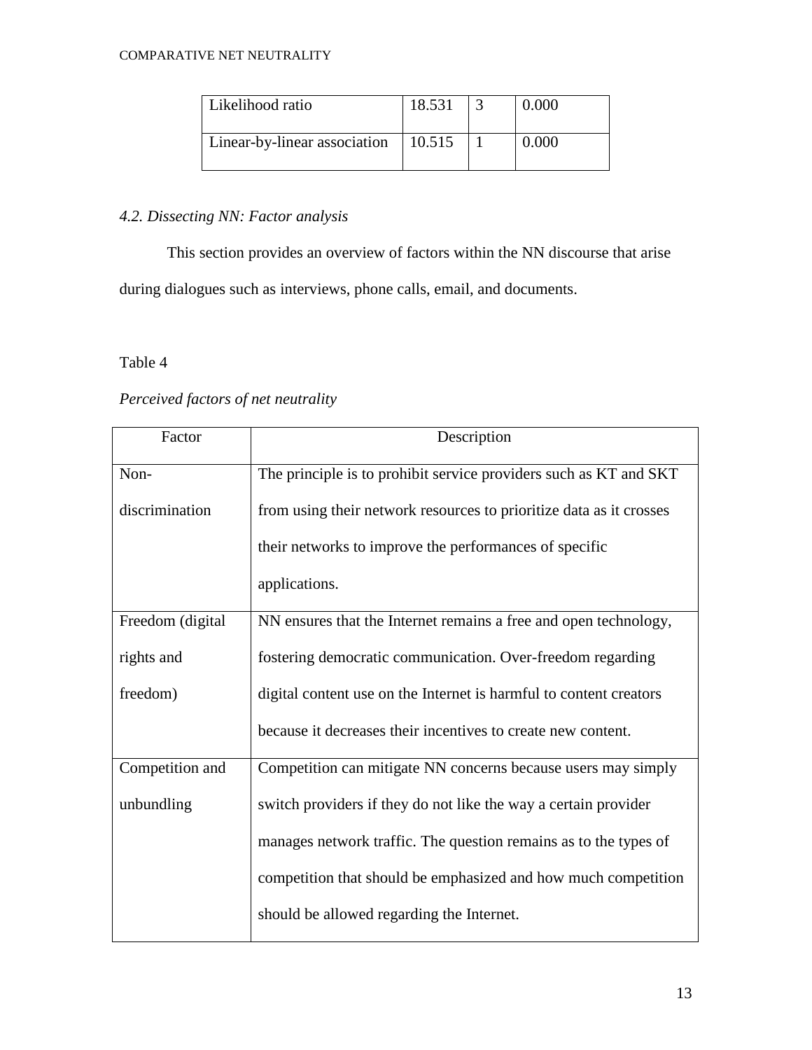| Likelihood ratio             | 18.531 | 0.000 |
|------------------------------|--------|-------|
| Linear-by-linear association | 10.515 | 0.000 |

# *4.2. Dissecting NN: Factor analysis*

This section provides an overview of factors within the NN discourse that arise during dialogues such as interviews, phone calls, email, and documents.

# Table 4

# *Perceived factors of net neutrality*

| Factor           | Description                                                         |  |  |  |  |
|------------------|---------------------------------------------------------------------|--|--|--|--|
| Non-             | The principle is to prohibit service providers such as KT and SKT   |  |  |  |  |
| discrimination   | from using their network resources to prioritize data as it crosses |  |  |  |  |
|                  | their networks to improve the performances of specific              |  |  |  |  |
|                  | applications.                                                       |  |  |  |  |
| Freedom (digital | NN ensures that the Internet remains a free and open technology,    |  |  |  |  |
| rights and       | fostering democratic communication. Over-freedom regarding          |  |  |  |  |
| freedom)         | digital content use on the Internet is harmful to content creators  |  |  |  |  |
|                  | because it decreases their incentives to create new content.        |  |  |  |  |
| Competition and  | Competition can mitigate NN concerns because users may simply       |  |  |  |  |
| unbundling       | switch providers if they do not like the way a certain provider     |  |  |  |  |
|                  | manages network traffic. The question remains as to the types of    |  |  |  |  |
|                  | competition that should be emphasized and how much competition      |  |  |  |  |
|                  | should be allowed regarding the Internet.                           |  |  |  |  |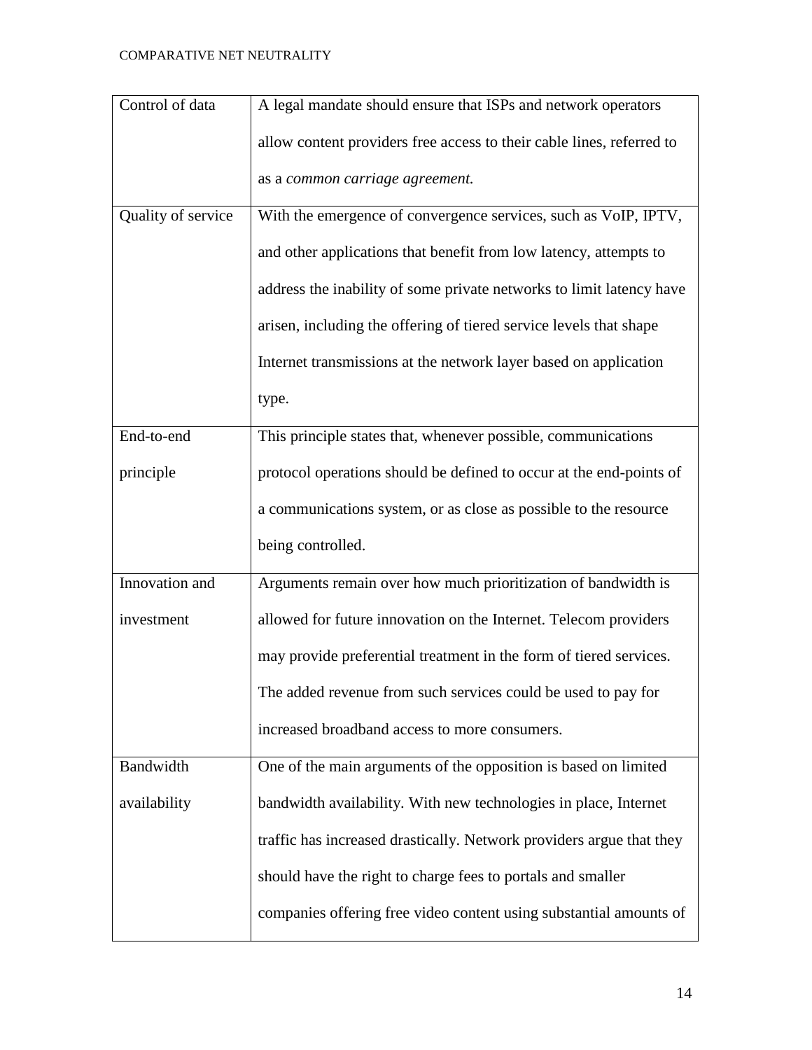| Control of data    | A legal mandate should ensure that ISPs and network operators         |  |  |  |  |  |
|--------------------|-----------------------------------------------------------------------|--|--|--|--|--|
|                    | allow content providers free access to their cable lines, referred to |  |  |  |  |  |
|                    | as a common carriage agreement.                                       |  |  |  |  |  |
| Quality of service | With the emergence of convergence services, such as VoIP, IPTV,       |  |  |  |  |  |
|                    | and other applications that benefit from low latency, attempts to     |  |  |  |  |  |
|                    | address the inability of some private networks to limit latency have  |  |  |  |  |  |
|                    | arisen, including the offering of tiered service levels that shape    |  |  |  |  |  |
|                    | Internet transmissions at the network layer based on application      |  |  |  |  |  |
|                    | type.                                                                 |  |  |  |  |  |
| End-to-end         | This principle states that, whenever possible, communications         |  |  |  |  |  |
| principle          | protocol operations should be defined to occur at the end-points of   |  |  |  |  |  |
|                    | a communications system, or as close as possible to the resource      |  |  |  |  |  |
|                    | being controlled.                                                     |  |  |  |  |  |
| Innovation and     | Arguments remain over how much prioritization of bandwidth is         |  |  |  |  |  |
| investment         | allowed for future innovation on the Internet. Telecom providers      |  |  |  |  |  |
|                    | may provide preferential treatment in the form of tiered services.    |  |  |  |  |  |
|                    | The added revenue from such services could be used to pay for         |  |  |  |  |  |
|                    | increased broadband access to more consumers.                         |  |  |  |  |  |
| Bandwidth          | One of the main arguments of the opposition is based on limited       |  |  |  |  |  |
| availability       | bandwidth availability. With new technologies in place, Internet      |  |  |  |  |  |
|                    | traffic has increased drastically. Network providers argue that they  |  |  |  |  |  |
|                    | should have the right to charge fees to portals and smaller           |  |  |  |  |  |
|                    | companies offering free video content using substantial amounts of    |  |  |  |  |  |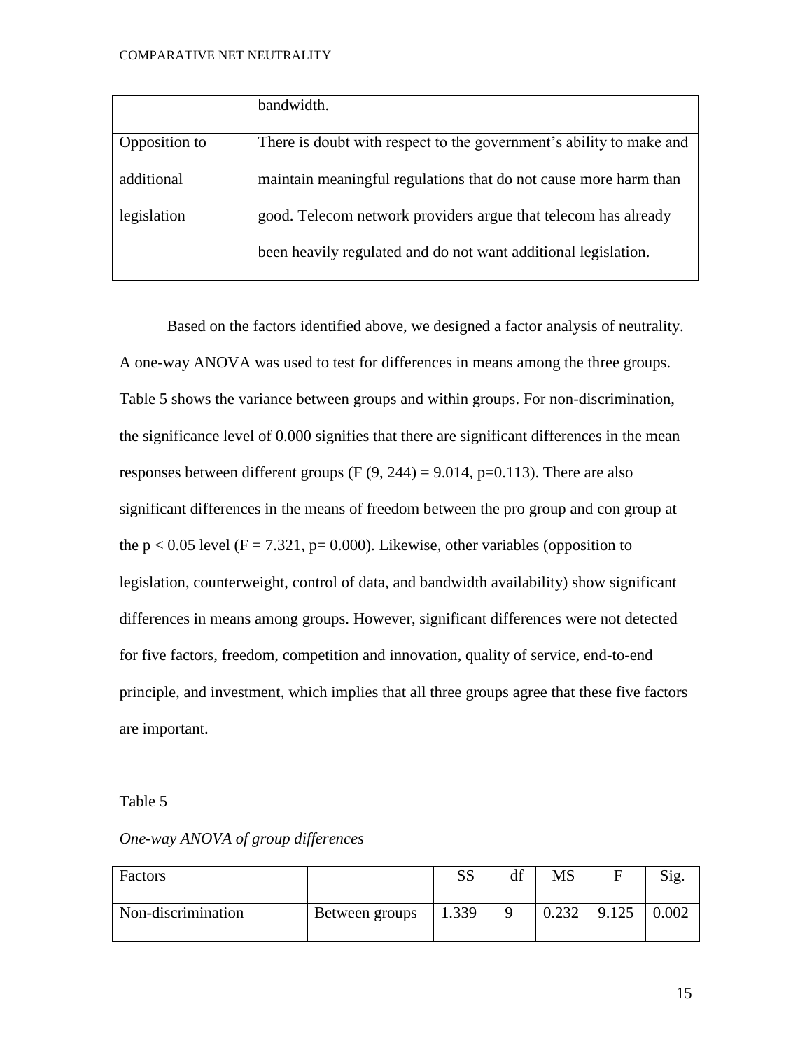| bandwidth.                                                          |
|---------------------------------------------------------------------|
|                                                                     |
| There is doubt with respect to the government's ability to make and |
|                                                                     |
| maintain meaningful regulations that do not cause more harm than    |
|                                                                     |
| good. Telecom network providers argue that telecom has already      |
|                                                                     |
|                                                                     |
| been heavily regulated and do not want additional legislation.      |
|                                                                     |

Based on the factors identified above, we designed a factor analysis of neutrality. A one-way ANOVA was used to test for differences in means among the three groups. Table 5 shows the variance between groups and within groups. For non-discrimination, the significance level of 0.000 signifies that there are significant differences in the mean responses between different groups (F  $(9, 244) = 9.014$ , p=0.113). There are also significant differences in the means of freedom between the pro group and con group at the  $p < 0.05$  level (F = 7.321, p= 0.000). Likewise, other variables (opposition to legislation, counterweight, control of data, and bandwidth availability) show significant differences in means among groups. However, significant differences were not detected for five factors, freedom, competition and innovation, quality of service, end-to-end principle, and investment, which implies that all three groups agree that these five factors are important.

# Table 5

| Factors            |                | C<br>נונו | df | MS    |       | Sig.  |
|--------------------|----------------|-----------|----|-------|-------|-------|
| Non-discrimination | Between groups | 1.339     |    | 0.232 | 9.125 | 0.002 |

# *One-way ANOVA of group differences*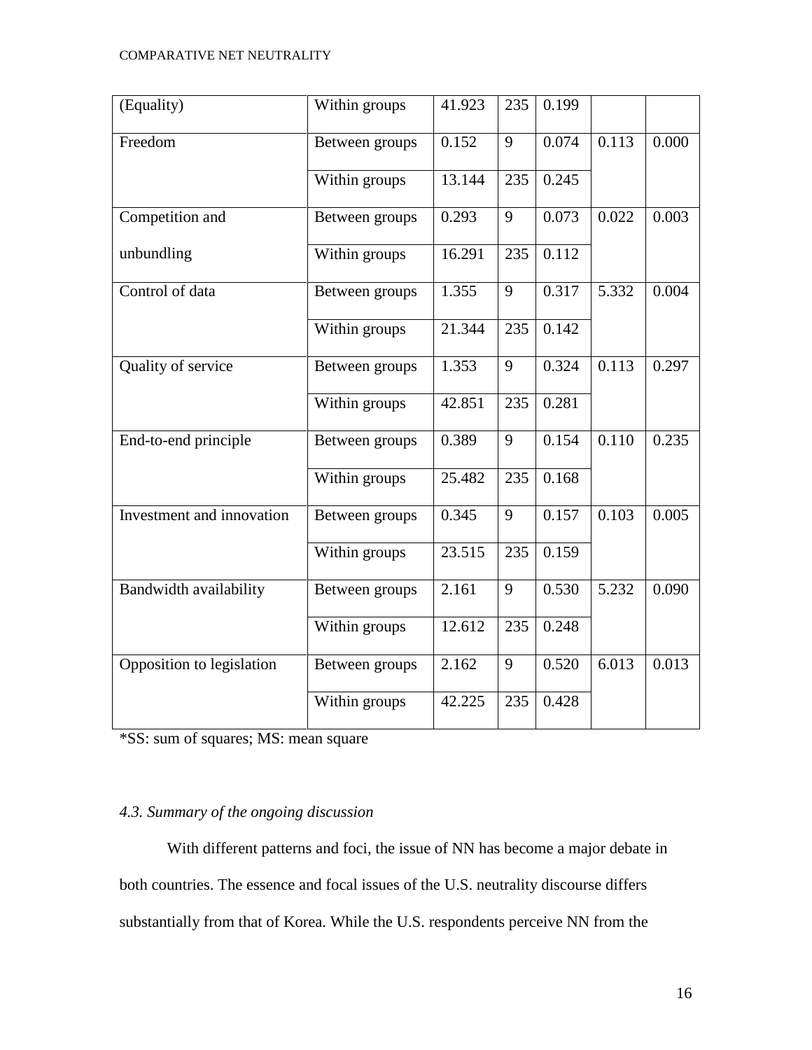| (Equality)                | Within groups  | 41.923 | 235 | 0.199 |       |       |
|---------------------------|----------------|--------|-----|-------|-------|-------|
| Freedom                   | Between groups | 0.152  | 9   | 0.074 | 0.113 | 0.000 |
|                           | Within groups  | 13.144 | 235 | 0.245 |       |       |
| Competition and           | Between groups | 0.293  | 9   | 0.073 | 0.022 | 0.003 |
| unbundling                | Within groups  | 16.291 | 235 | 0.112 |       |       |
| Control of data           | Between groups | 1.355  | 9   | 0.317 | 5.332 | 0.004 |
|                           | Within groups  | 21.344 | 235 | 0.142 |       |       |
| Quality of service        | Between groups | 1.353  | 9   | 0.324 | 0.113 | 0.297 |
|                           | Within groups  | 42.851 | 235 | 0.281 |       |       |
| End-to-end principle      | Between groups | 0.389  | 9   | 0.154 | 0.110 | 0.235 |
|                           | Within groups  | 25.482 | 235 | 0.168 |       |       |
| Investment and innovation | Between groups | 0.345  | 9   | 0.157 | 0.103 | 0.005 |
|                           | Within groups  | 23.515 | 235 | 0.159 |       |       |
| Bandwidth availability    | Between groups | 2.161  | 9   | 0.530 | 5.232 | 0.090 |
|                           | Within groups  | 12.612 | 235 | 0.248 |       |       |
| Opposition to legislation | Between groups | 2.162  | 9   | 0.520 | 6.013 | 0.013 |
|                           | Within groups  | 42.225 | 235 | 0.428 |       |       |

\*SS: sum of squares; MS: mean square

# *4.3. Summary of the ongoing discussion*

With different patterns and foci, the issue of NN has become a major debate in both countries. The essence and focal issues of the U.S. neutrality discourse differs substantially from that of Korea. While the U.S. respondents perceive NN from the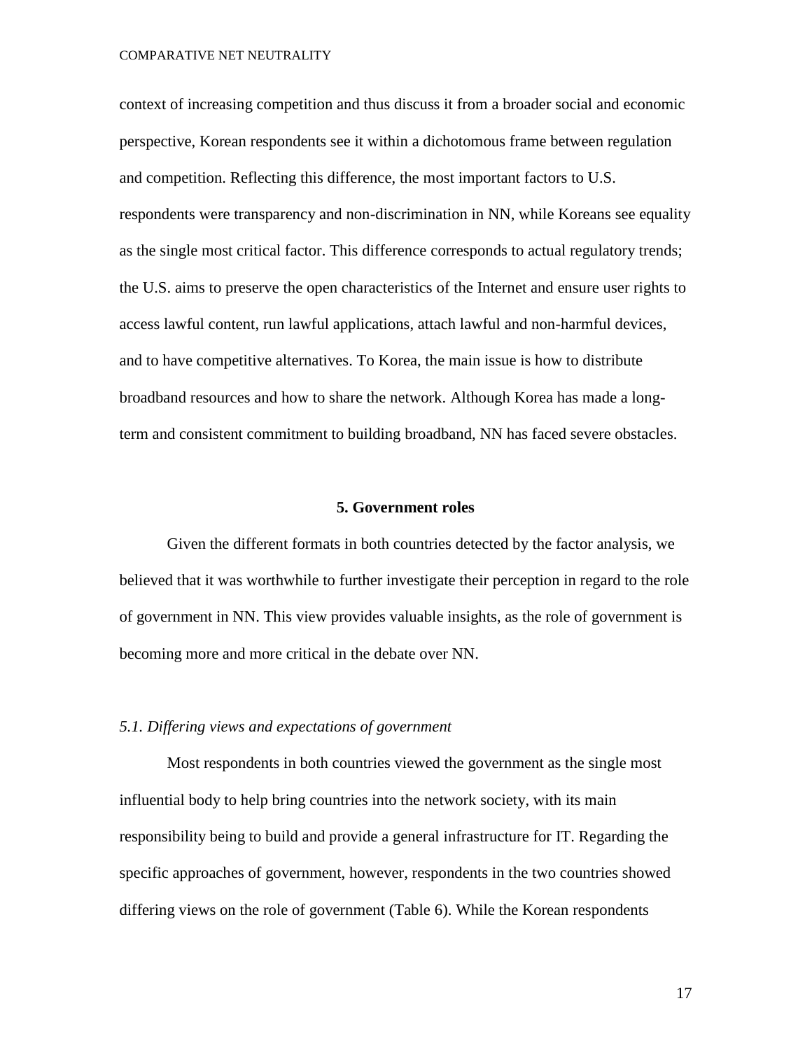context of increasing competition and thus discuss it from a broader social and economic perspective, Korean respondents see it within a dichotomous frame between regulation and competition. Reflecting this difference, the most important factors to U.S. respondents were transparency and non-discrimination in NN, while Koreans see equality as the single most critical factor. This difference corresponds to actual regulatory trends; the U.S. aims to preserve the open characteristics of the Internet and ensure user rights to access lawful content, run lawful applications, attach lawful and non-harmful devices, and to have competitive alternatives. To Korea, the main issue is how to distribute broadband resources and how to share the network. Although Korea has made a longterm and consistent commitment to building broadband, NN has faced severe obstacles.

#### **5. Government roles**

Given the different formats in both countries detected by the factor analysis, we believed that it was worthwhile to further investigate their perception in regard to the role of government in NN. This view provides valuable insights, as the role of government is becoming more and more critical in the debate over NN.

#### *5.1. Differing views and expectations of government*

Most respondents in both countries viewed the government as the single most influential body to help bring countries into the network society, with its main responsibility being to build and provide a general infrastructure for IT. Regarding the specific approaches of government, however, respondents in the two countries showed differing views on the role of government (Table 6). While the Korean respondents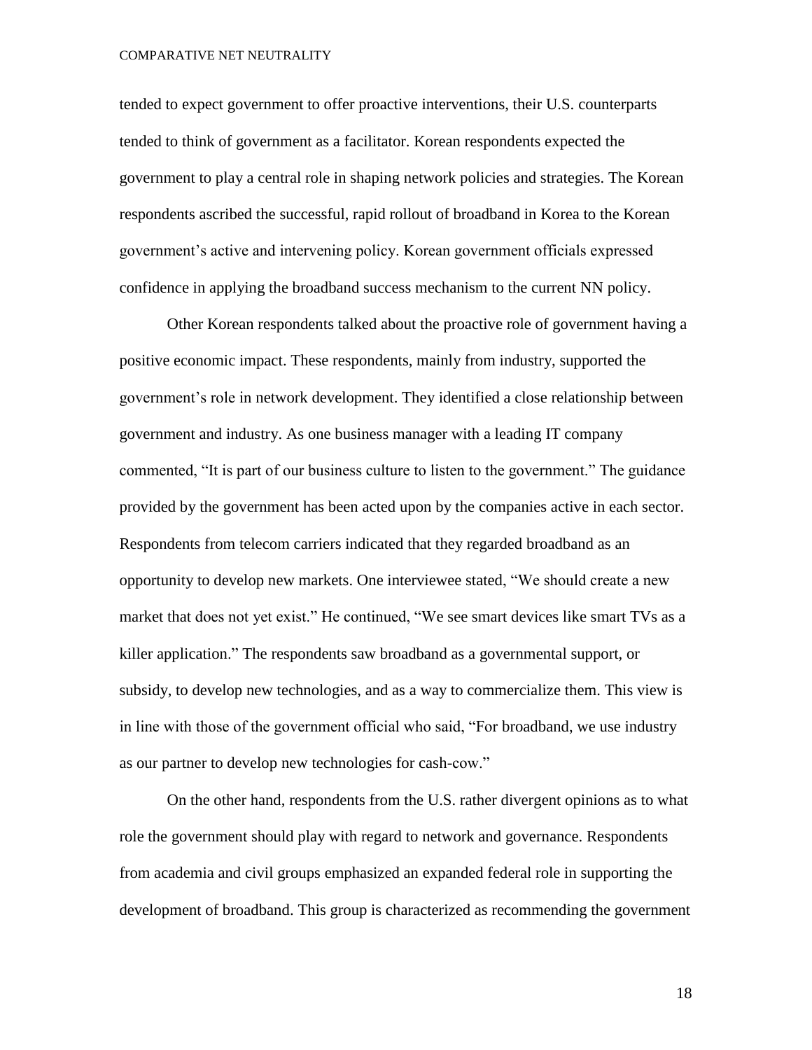tended to expect government to offer proactive interventions, their U.S. counterparts tended to think of government as a facilitator. Korean respondents expected the government to play a central role in shaping network policies and strategies. The Korean respondents ascribed the successful, rapid rollout of broadband in Korea to the Korean government's active and intervening policy. Korean government officials expressed confidence in applying the broadband success mechanism to the current NN policy.

Other Korean respondents talked about the proactive role of government having a positive economic impact. These respondents, mainly from industry, supported the government's role in network development. They identified a close relationship between government and industry. As one business manager with a leading IT company commented, "It is part of our business culture to listen to the government." The guidance provided by the government has been acted upon by the companies active in each sector. Respondents from telecom carriers indicated that they regarded broadband as an opportunity to develop new markets. One interviewee stated, "We should create a new market that does not yet exist." He continued, "We see smart devices like smart TVs as a killer application." The respondents saw broadband as a governmental support, or subsidy, to develop new technologies, and as a way to commercialize them. This view is in line with those of the government official who said, "For broadband, we use industry as our partner to develop new technologies for cash-cow."

On the other hand, respondents from the U.S. rather divergent opinions as to what role the government should play with regard to network and governance. Respondents from academia and civil groups emphasized an expanded federal role in supporting the development of broadband. This group is characterized as recommending the government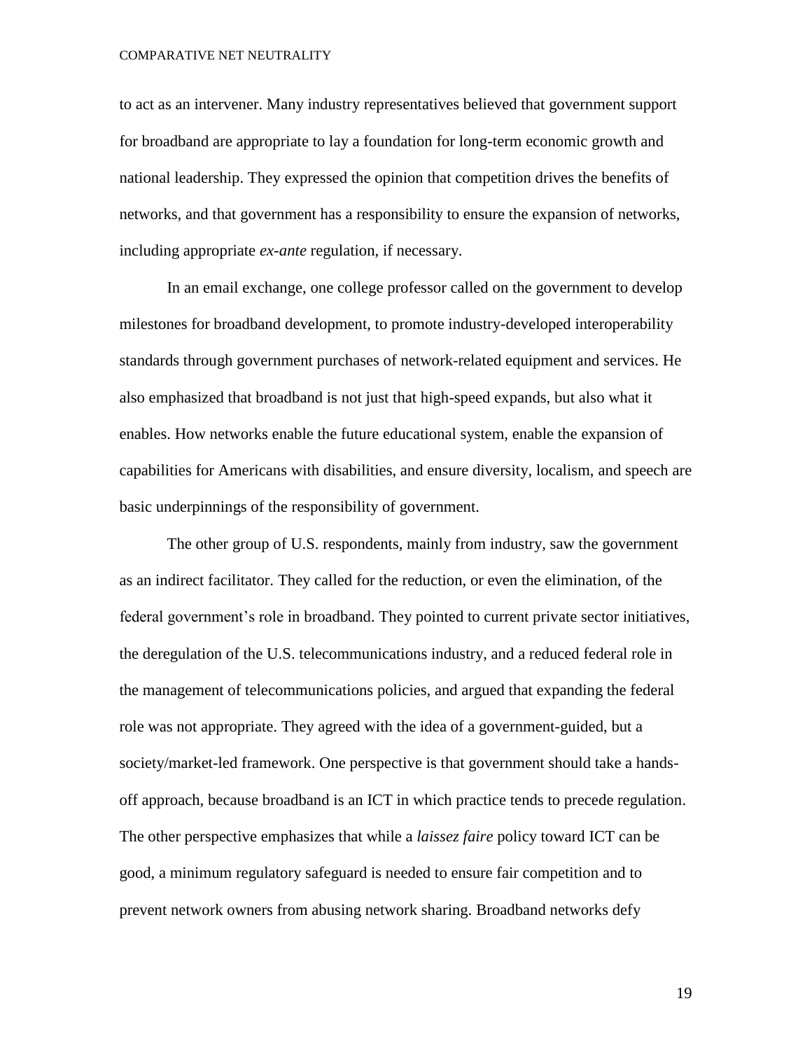to act as an intervener. Many industry representatives believed that government support for broadband are appropriate to lay a foundation for long-term economic growth and national leadership. They expressed the opinion that competition drives the benefits of networks, and that government has a responsibility to ensure the expansion of networks, including appropriate *ex-ante* regulation, if necessary.

In an email exchange, one college professor called on the government to develop milestones for broadband development, to promote industry-developed interoperability standards through government purchases of network-related equipment and services. He also emphasized that broadband is not just that high-speed expands, but also what it enables. How networks enable the future educational system, enable the expansion of capabilities for Americans with disabilities, and ensure diversity, localism, and speech are basic underpinnings of the responsibility of government.

The other group of U.S. respondents, mainly from industry, saw the government as an indirect facilitator. They called for the reduction, or even the elimination, of the federal government's role in broadband. They pointed to current private sector initiatives, the deregulation of the U.S. telecommunications industry, and a reduced federal role in the management of telecommunications policies, and argued that expanding the federal role was not appropriate. They agreed with the idea of a government-guided, but a society/market-led framework. One perspective is that government should take a handsoff approach, because broadband is an ICT in which practice tends to precede regulation. The other perspective emphasizes that while a *laissez faire* policy toward ICT can be good, a minimum regulatory safeguard is needed to ensure fair competition and to prevent network owners from abusing network sharing. Broadband networks defy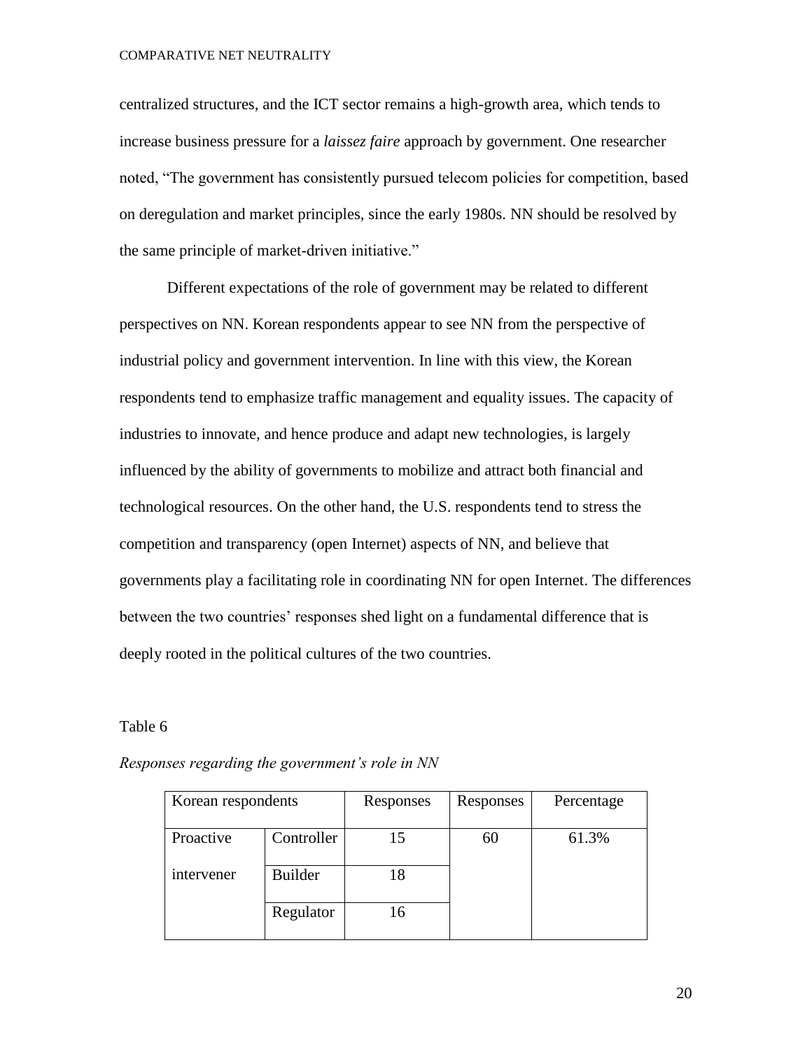centralized structures, and the ICT sector remains a high-growth area, which tends to increase business pressure for a *laissez faire* approach by government. One researcher noted, "The government has consistently pursued telecom policies for competition, based on deregulation and market principles, since the early 1980s. NN should be resolved by the same principle of market-driven initiative."

Different expectations of the role of government may be related to different perspectives on NN. Korean respondents appear to see NN from the perspective of industrial policy and government intervention. In line with this view, the Korean respondents tend to emphasize traffic management and equality issues. The capacity of industries to innovate, and hence produce and adapt new technologies, is largely influenced by the ability of governments to mobilize and attract both financial and technological resources. On the other hand, the U.S. respondents tend to stress the competition and transparency (open Internet) aspects of NN, and believe that governments play a facilitating role in coordinating NN for open Internet. The differences between the two countries' responses shed light on a fundamental difference that is deeply rooted in the political cultures of the two countries.

#### Table 6

| Korean respondents |                | Responses | Responses | Percentage |
|--------------------|----------------|-----------|-----------|------------|
| Proactive          | Controller     | 15        | 60        | 61.3%      |
| intervener         | <b>Builder</b> | 18        |           |            |
|                    | Regulator      | 16        |           |            |

*Responses regarding the government's role in NN*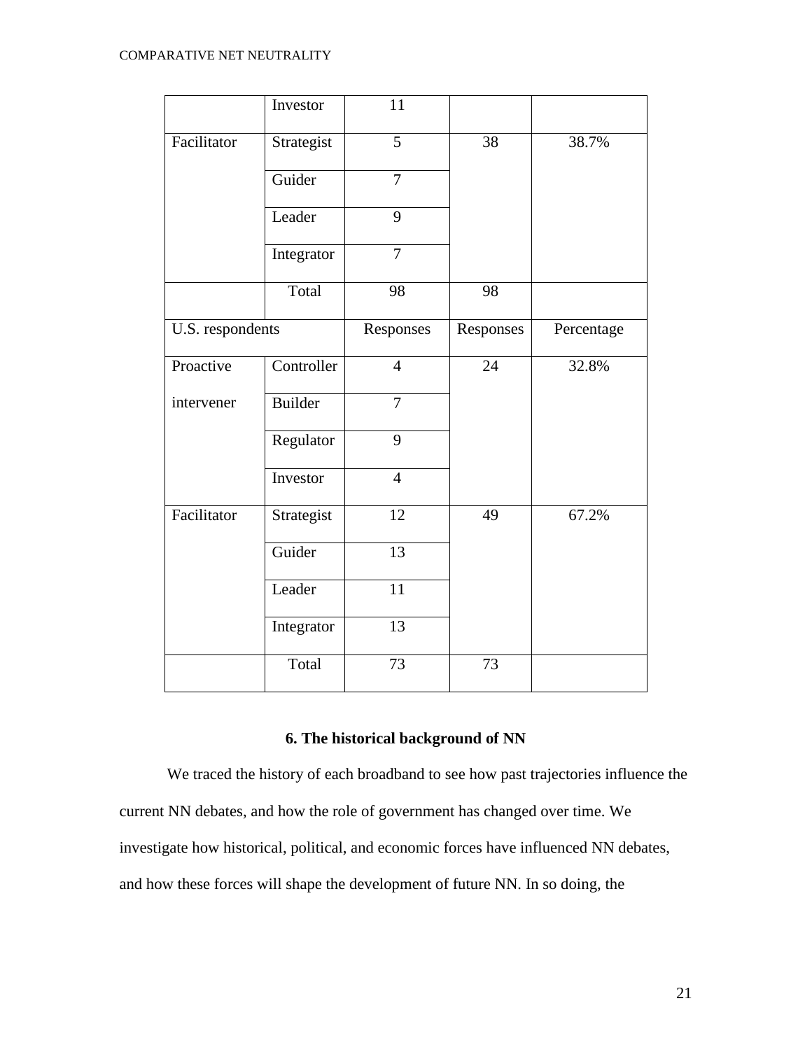|                  | Investor   | 11              |                 |            |
|------------------|------------|-----------------|-----------------|------------|
| Facilitator      | Strategist | $\overline{5}$  | $\overline{38}$ | 38.7%      |
|                  | Guider     | $\overline{7}$  |                 |            |
|                  | Leader     | 9               |                 |            |
|                  | Integrator | $\overline{7}$  |                 |            |
|                  | Total      | 98              | 98              |            |
| U.S. respondents |            | Responses       | Responses       | Percentage |
| Proactive        | Controller | $\overline{4}$  | 24              | 32.8%      |
| intervener       | Builder    | $\overline{7}$  |                 |            |
|                  | Regulator  | 9               |                 |            |
|                  | Investor   | $\overline{4}$  |                 |            |
| Facilitator      | Strategist | 12              | 49              | 67.2%      |
|                  | Guider     | $\overline{13}$ |                 |            |
|                  | Leader     | $\overline{11}$ |                 |            |
|                  | Integrator | 13              |                 |            |
|                  | Total      | 73              | 73              |            |

# **6. The historical background of NN**

We traced the history of each broadband to see how past trajectories influence the current NN debates, and how the role of government has changed over time. We investigate how historical, political, and economic forces have influenced NN debates, and how these forces will shape the development of future NN. In so doing, the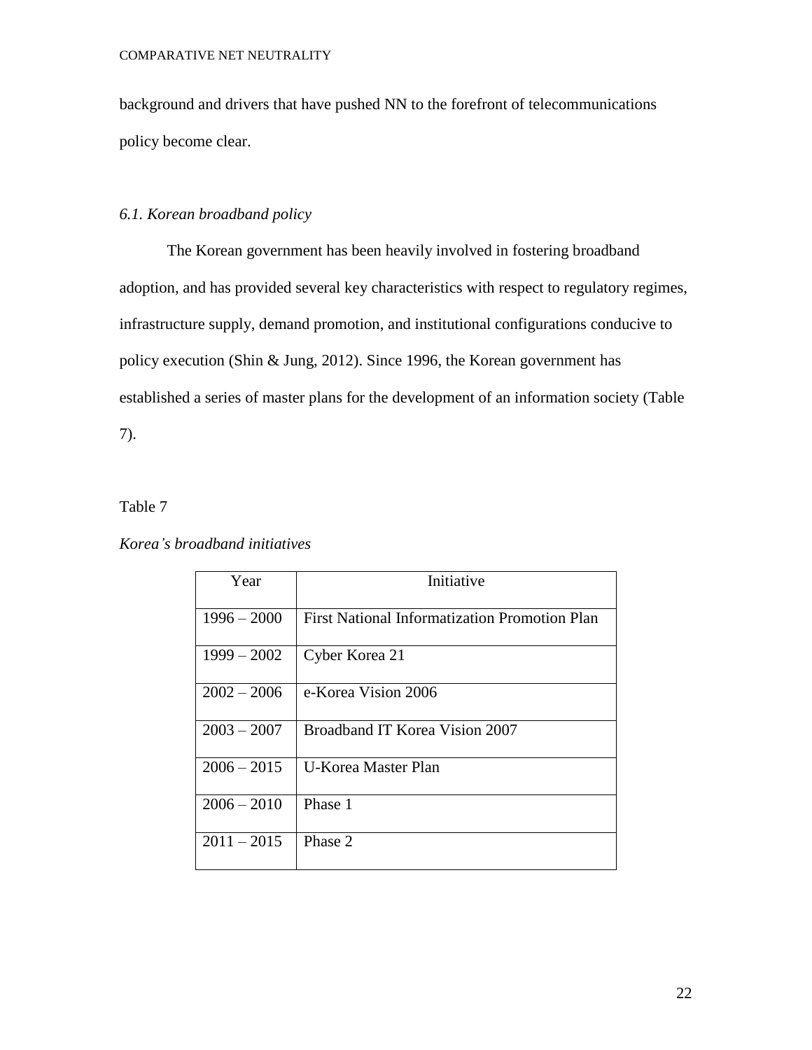background and drivers that have pushed NN to the forefront of telecommunications policy become clear.

# *6.1. Korean broadband policy*

The Korean government has been heavily involved in fostering broadband adoption, and has provided several key characteristics with respect to regulatory regimes, infrastructure supply, demand promotion, and institutional configurations conducive to policy execution (Shin & Jung, 2012). Since 1996, the Korean government has established a series of master plans for the development of an information society (Table 7).

# Table 7

## *Korea's broadband initiatives*

| Year          | Initiative                                           |  |
|---------------|------------------------------------------------------|--|
| $1996 - 2000$ | <b>First National Informatization Promotion Plan</b> |  |
| $1999 - 2002$ | Cyber Korea 21                                       |  |
| $2002 - 2006$ | e-Korea Vision 2006                                  |  |
| $2003 - 2007$ | Broadband IT Korea Vision 2007                       |  |
| $2006 - 2015$ | U-Korea Master Plan                                  |  |
| $2006 - 2010$ | Phase 1                                              |  |
| $2011 - 2015$ | Phase 2                                              |  |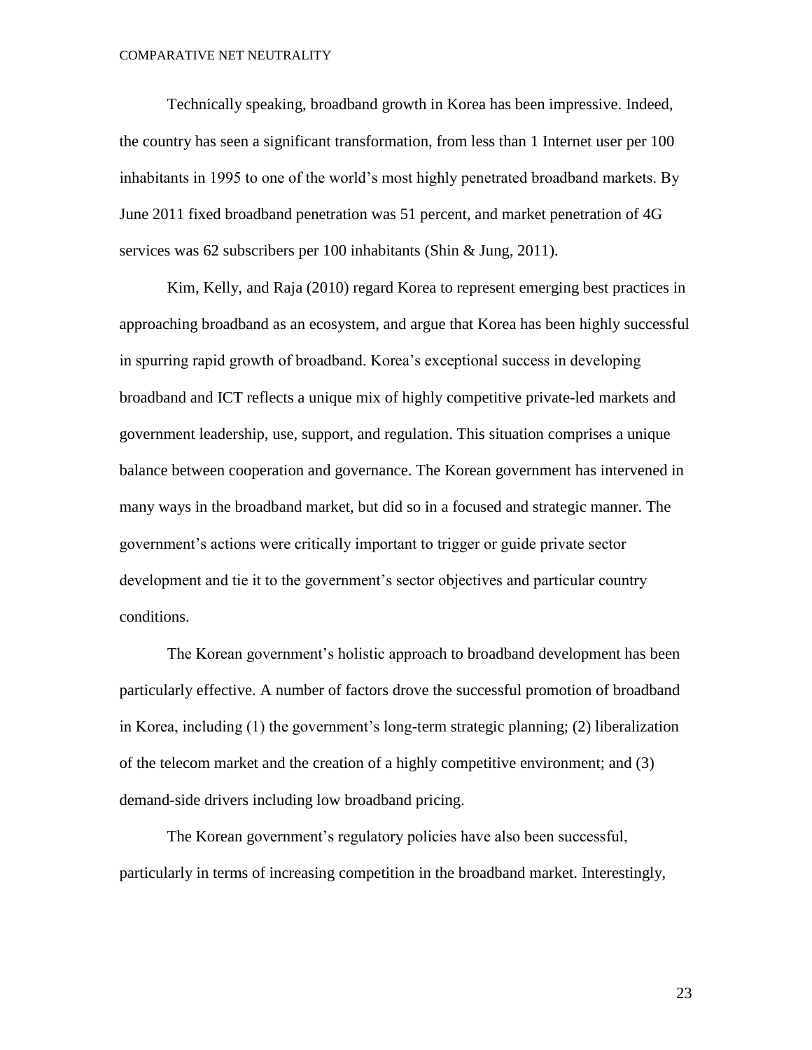Technically speaking, broadband growth in Korea has been impressive. Indeed, the country has seen a significant transformation, from less than 1 Internet user per 100 inhabitants in 1995 to one of the world's most highly penetrated broadband markets. By June 2011 fixed broadband penetration was 51 percent, and market penetration of 4G services was 62 subscribers per 100 inhabitants (Shin & Jung, 2011).

Kim, Kelly, and Raja (2010) regard Korea to represent emerging best practices in approaching broadband as an ecosystem, and argue that Korea has been highly successful in spurring rapid growth of broadband. Korea's exceptional success in developing broadband and ICT reflects a unique mix of highly competitive private-led markets and government leadership, use, support, and regulation. This situation comprises a unique balance between cooperation and governance. The Korean government has intervened in many ways in the broadband market, but did so in a focused and strategic manner. The government's actions were critically important to trigger or guide private sector development and tie it to the government's sector objectives and particular country conditions.

The Korean government's holistic approach to broadband development has been particularly effective. A number of factors drove the successful promotion of broadband in Korea, including (1) the government's long-term strategic planning; (2) liberalization of the telecom market and the creation of a highly competitive environment; and (3) demand-side drivers including low broadband pricing.

The Korean government's regulatory policies have also been successful, particularly in terms of increasing competition in the broadband market. Interestingly,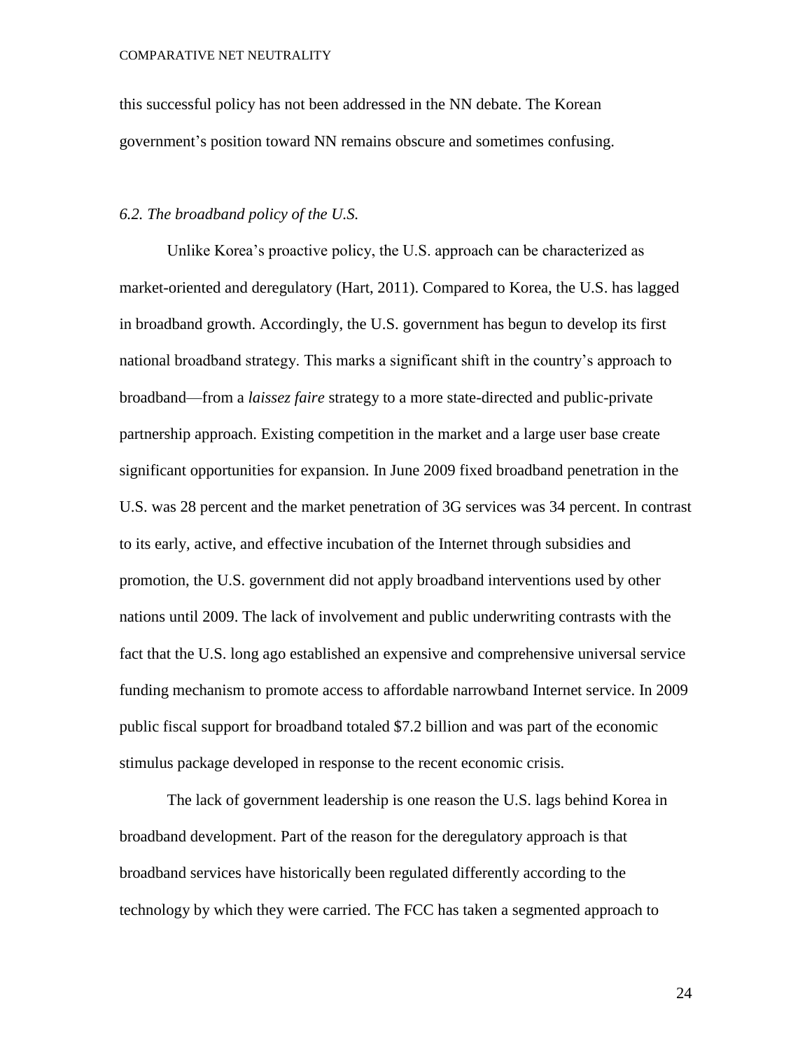this successful policy has not been addressed in the NN debate. The Korean government's position toward NN remains obscure and sometimes confusing.

#### *6.2. The broadband policy of the U.S.*

Unlike Korea's proactive policy, the U.S. approach can be characterized as market-oriented and deregulatory (Hart, 2011). Compared to Korea, the U.S. has lagged in broadband growth. Accordingly, the U.S. government has begun to develop its first national broadband strategy. This marks a significant shift in the country's approach to broadband—from a *laissez faire* strategy to a more state-directed and public-private partnership approach. Existing competition in the market and a large user base create significant opportunities for expansion. In June 2009 fixed broadband penetration in the U.S. was 28 percent and the market penetration of 3G services was 34 percent. In contrast to its early, active, and effective incubation of the Internet through subsidies and promotion, the U.S. government did not apply broadband interventions used by other nations until 2009. The lack of involvement and public underwriting contrasts with the fact that the U.S. long ago established an expensive and comprehensive universal service funding mechanism to promote access to affordable narrowband Internet service. In 2009 public fiscal support for broadband totaled \$7.2 billion and was part of the economic stimulus package developed in response to the recent economic crisis.

The lack of government leadership is one reason the U.S. lags behind Korea in broadband development. Part of the reason for the deregulatory approach is that broadband services have historically been regulated differently according to the technology by which they were carried. The FCC has taken a segmented approach to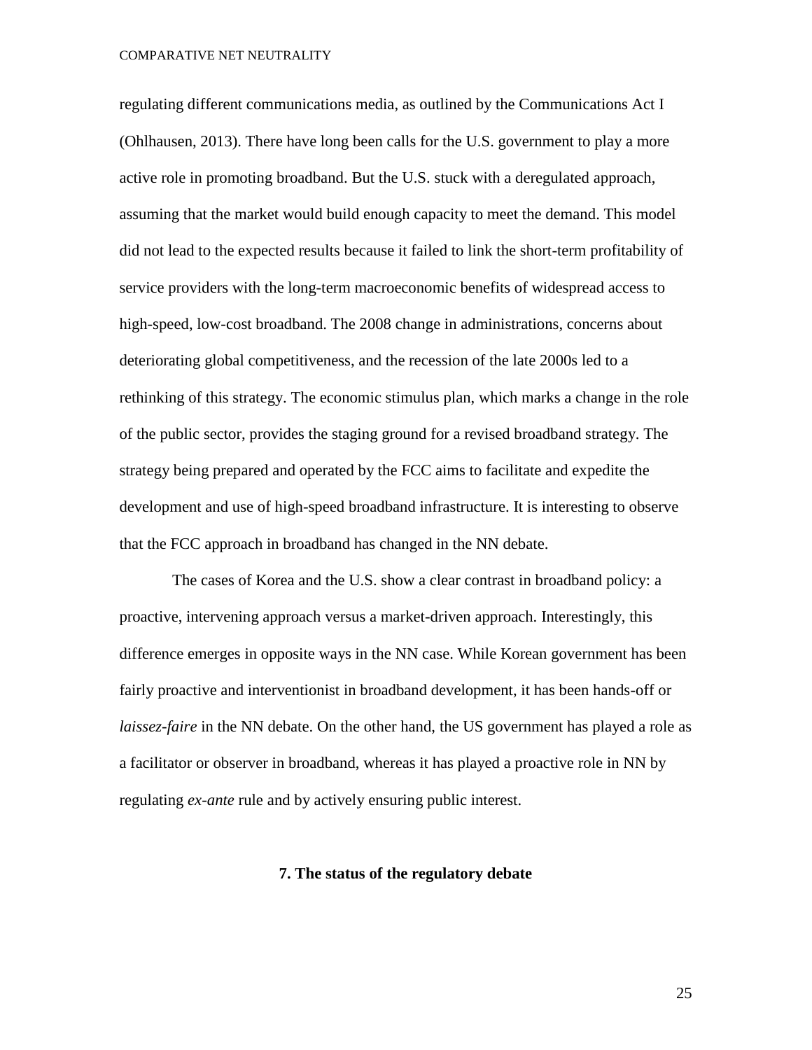regulating different communications media, as outlined by the Communications Act I (Ohlhausen, 2013). There have long been calls for the U.S. government to play a more active role in promoting broadband. But the U.S. stuck with a deregulated approach, assuming that the market would build enough capacity to meet the demand. This model did not lead to the expected results because it failed to link the short-term profitability of service providers with the long-term macroeconomic benefits of widespread access to high-speed, low-cost broadband. The 2008 change in administrations, concerns about deteriorating global competitiveness, and the recession of the late 2000s led to a rethinking of this strategy. The economic stimulus plan, which marks a change in the role of the public sector, provides the staging ground for a revised broadband strategy. The strategy being prepared and operated by the FCC aims to facilitate and expedite the development and use of high-speed broadband infrastructure. It is interesting to observe that the FCC approach in broadband has changed in the NN debate.

The cases of Korea and the U.S. show a clear contrast in broadband policy: a proactive, intervening approach versus a market-driven approach. Interestingly, this difference emerges in opposite ways in the NN case. While Korean government has been fairly proactive and interventionist in broadband development, it has been hands-off or *laissez-faire* in the NN debate. On the other hand, the US government has played a role as a facilitator or observer in broadband, whereas it has played a proactive role in NN by regulating *ex-ante* rule and by actively ensuring public interest.

#### **7. The status of the regulatory debate**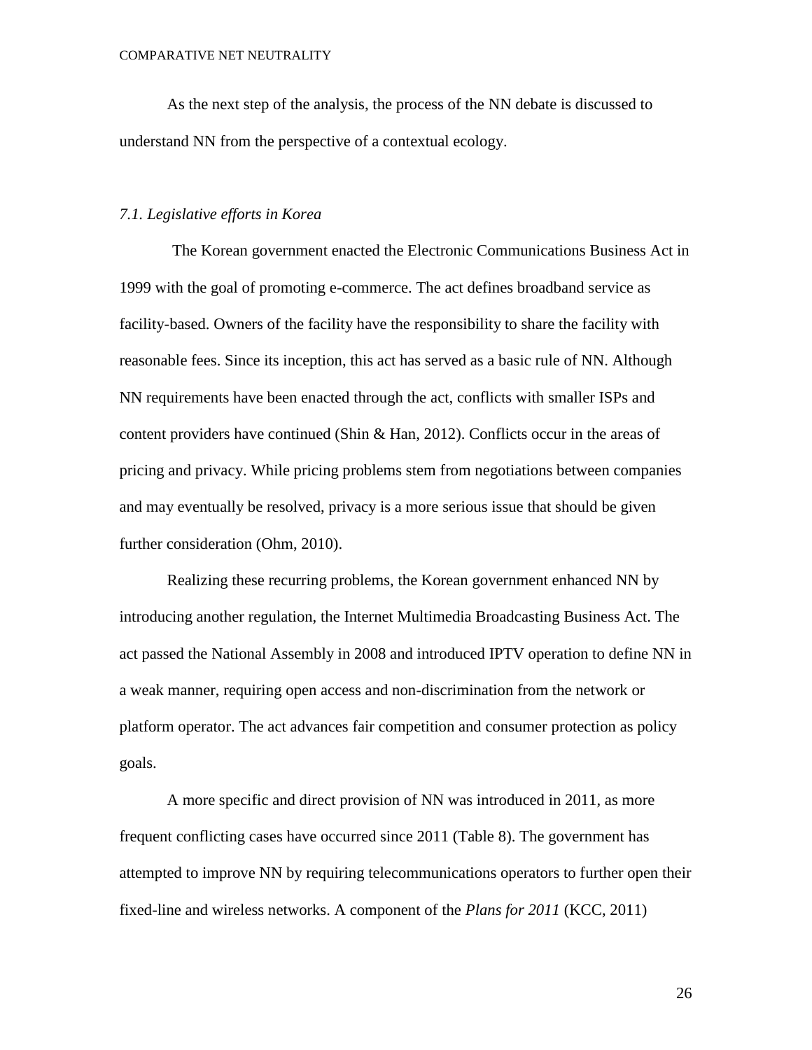As the next step of the analysis, the process of the NN debate is discussed to understand NN from the perspective of a contextual ecology.

#### *7.1. Legislative efforts in Korea*

The Korean government enacted the Electronic Communications Business Act in 1999 with the goal of promoting e-commerce. The act defines broadband service as facility-based. Owners of the facility have the responsibility to share the facility with reasonable fees. Since its inception, this act has served as a basic rule of NN. Although NN requirements have been enacted through the act, conflicts with smaller ISPs and content providers have continued (Shin & Han, 2012). Conflicts occur in the areas of pricing and privacy. While pricing problems stem from negotiations between companies and may eventually be resolved, privacy is a more serious issue that should be given further consideration (Ohm, 2010).

Realizing these recurring problems, the Korean government enhanced NN by introducing another regulation, the Internet Multimedia Broadcasting Business Act. The act passed the National Assembly in 2008 and introduced IPTV operation to define NN in a weak manner, requiring open access and non-discrimination from the network or platform operator. The act advances fair competition and consumer protection as policy goals.

A more specific and direct provision of NN was introduced in 2011, as more frequent conflicting cases have occurred since 2011 (Table 8). The government has attempted to improve NN by requiring telecommunications operators to further open their fixed-line and wireless networks. A component of the *Plans for 2011* (KCC, 2011)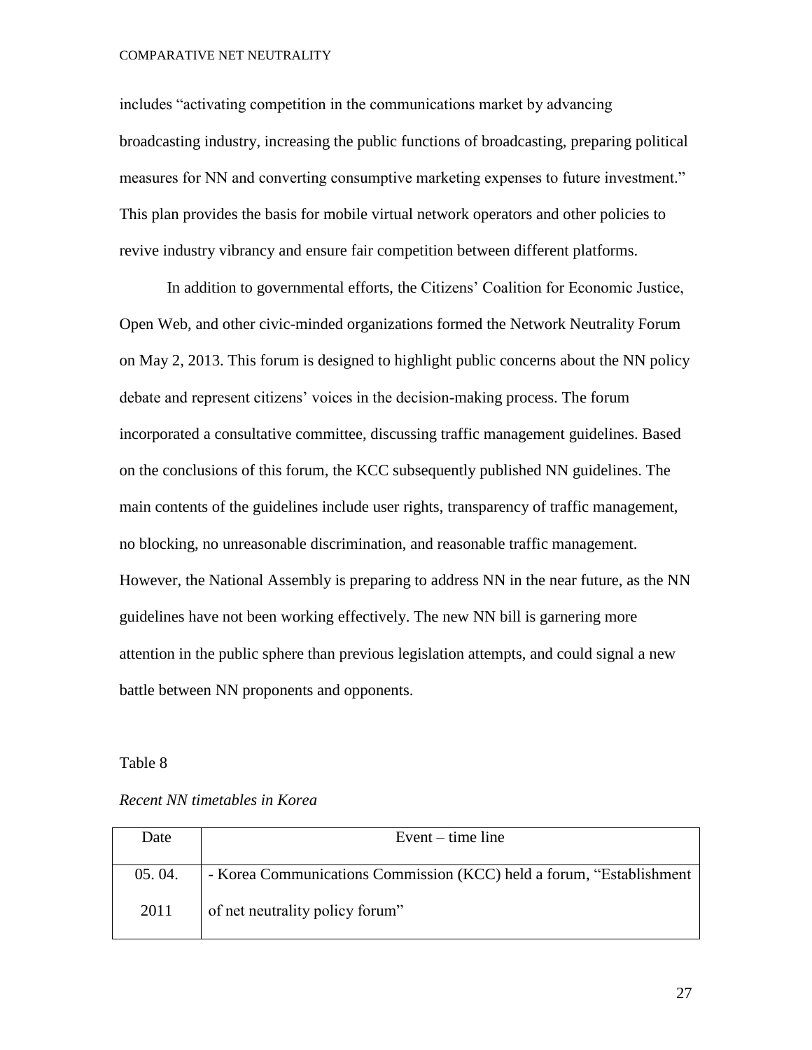includes "activating competition in the communications market by advancing broadcasting industry, increasing the public functions of broadcasting, preparing political measures for NN and converting consumptive marketing expenses to future investment." This plan provides the basis for mobile virtual network operators and other policies to revive industry vibrancy and ensure fair competition between different platforms.

In addition to governmental efforts, the Citizens' Coalition for Economic Justice, Open Web, and other civic-minded organizations formed the Network Neutrality Forum on May 2, 2013. This forum is designed to highlight public concerns about the NN policy debate and represent citizens' voices in the decision-making process. The forum incorporated a consultative committee, discussing traffic management guidelines. Based on the conclusions of this forum, the KCC subsequently published NN guidelines. The main contents of the guidelines include user rights, transparency of traffic management, no blocking, no unreasonable discrimination, and reasonable traffic management. However, the National Assembly is preparing to address NN in the near future, as the NN guidelines have not been working effectively. The new NN bill is garnering more attention in the public sphere than previous legislation attempts, and could signal a new battle between NN proponents and opponents.

#### Table 8

*Recent NN timetables in Korea*

| Date   | Event $-$ time line                                                   |  |  |
|--------|-----------------------------------------------------------------------|--|--|
|        |                                                                       |  |  |
| 05.04. | - Korea Communications Commission (KCC) held a forum, "Establishment" |  |  |
| 2011   | of net neutrality policy forum"                                       |  |  |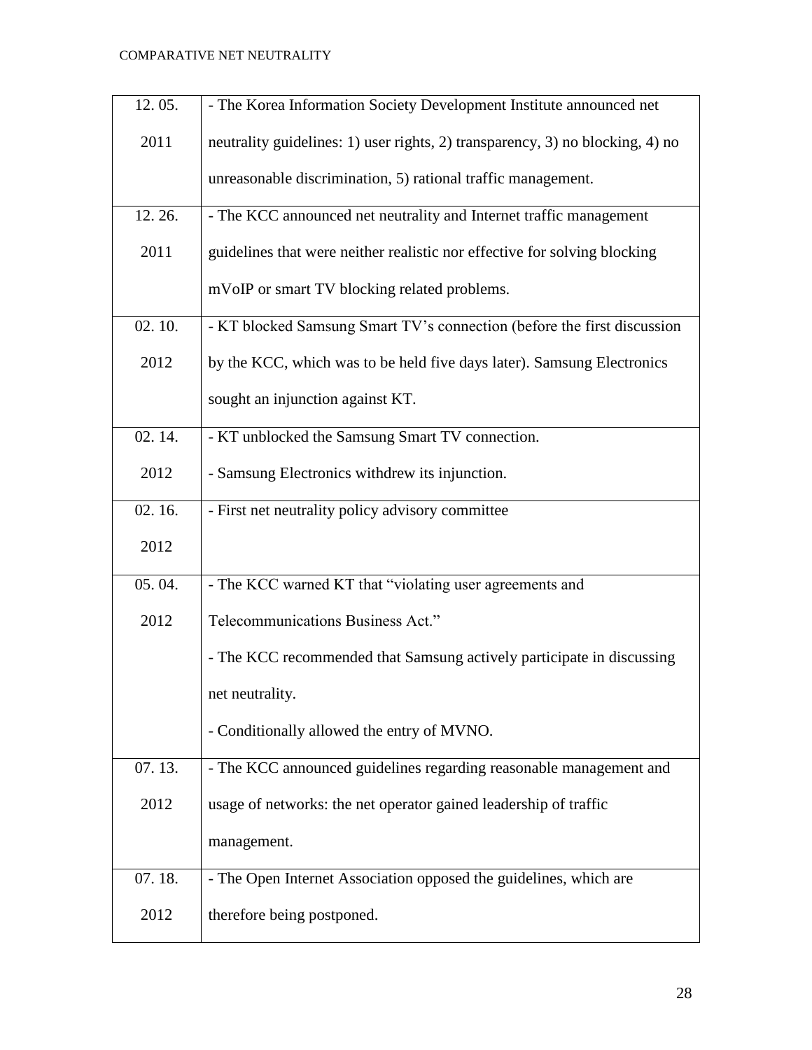| 12.05. | - The Korea Information Society Development Institute announced net           |
|--------|-------------------------------------------------------------------------------|
| 2011   | neutrality guidelines: 1) user rights, 2) transparency, 3) no blocking, 4) no |
|        | unreasonable discrimination, 5) rational traffic management.                  |
| 12.26. | - The KCC announced net neutrality and Internet traffic management            |
| 2011   | guidelines that were neither realistic nor effective for solving blocking     |
|        | mVoIP or smart TV blocking related problems.                                  |
| 02.10. | - KT blocked Samsung Smart TV's connection (before the first discussion       |
| 2012   | by the KCC, which was to be held five days later). Samsung Electronics        |
|        | sought an injunction against KT.                                              |
| 02.14. | - KT unblocked the Samsung Smart TV connection.                               |
| 2012   | - Samsung Electronics withdrew its injunction.                                |
| 02.16. | - First net neutrality policy advisory committee                              |
| 2012   |                                                                               |
| 05.04. | - The KCC warned KT that "violating user agreements and                       |
| 2012   | Telecommunications Business Act."                                             |
|        | - The KCC recommended that Samsung actively participate in discussing         |
|        | net neutrality.                                                               |
|        | - Conditionally allowed the entry of MVNO.                                    |
| 07.13. | - The KCC announced guidelines regarding reasonable management and            |
| 2012   | usage of networks: the net operator gained leadership of traffic              |
|        | management.                                                                   |
| 07.18. | - The Open Internet Association opposed the guidelines, which are             |
| 2012   | therefore being postponed.                                                    |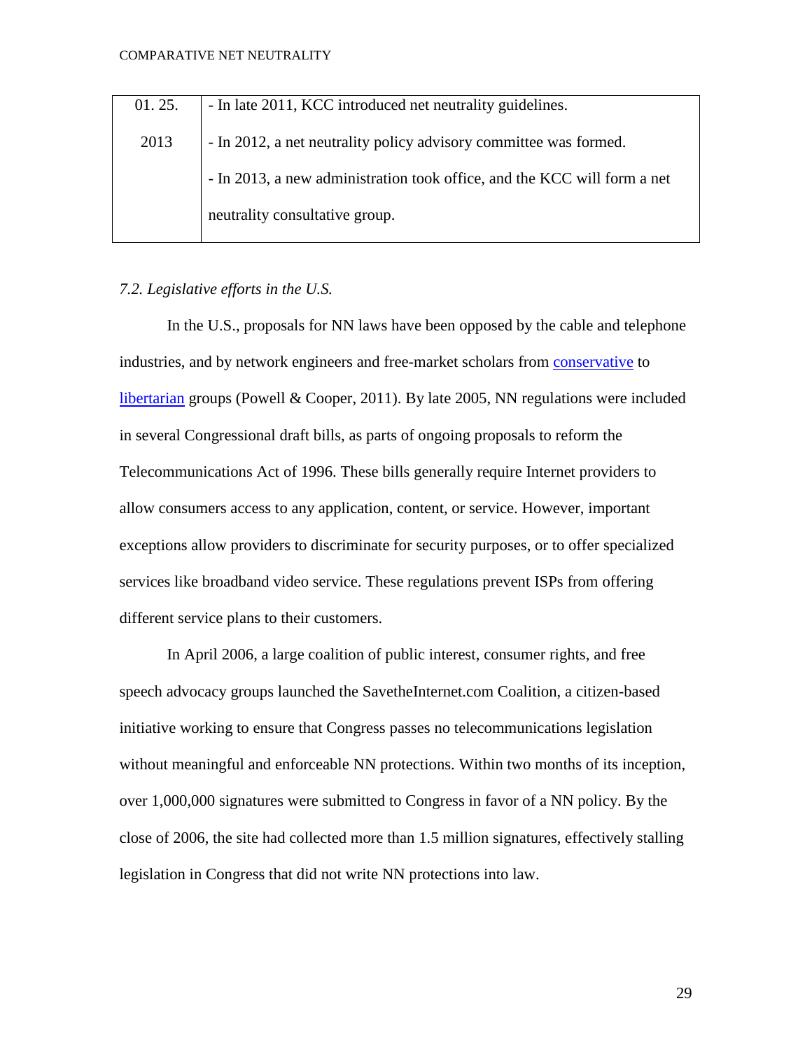| 01.25. | - In late 2011, KCC introduced net neutrality guidelines.                |
|--------|--------------------------------------------------------------------------|
| 2013   | - In 2012, a net neutrality policy advisory committee was formed.        |
|        | - In 2013, a new administration took office, and the KCC will form a net |
|        | neutrality consultative group.                                           |

#### *7.2. Legislative efforts in the U.S.*

In the U.S., proposals for NN laws have been opposed by the cable and telephone industries, and by network engineers and free-market scholars from [conservative](http://en.wikipedia.org/wiki/Conservatism) to [libertarian](http://en.wikipedia.org/wiki/Libertarian) groups (Powell & Cooper, 2011). By late 2005, NN regulations were included in several Congressional draft bills, as parts of ongoing proposals to reform the Telecommunications Act of 1996. These bills generally require Internet providers to allow consumers access to any application, content, or service. However, important exceptions allow providers to discriminate for security purposes, or to offer specialized services like broadband video service. These regulations prevent ISPs from offering different service plans to their customers.

In April 2006, a large coalition of public interest, consumer rights, and free speech advocacy groups launched the SavetheInternet.com Coalition, a citizen-based initiative working to ensure that Congress passes no telecommunications legislation without meaningful and enforceable NN protections. Within two months of its inception, over 1,000,000 signatures were submitted to Congress in favor of a NN policy. By the close of 2006, the site had collected more than 1.5 million signatures, effectively stalling legislation in Congress that did not write NN protections into law.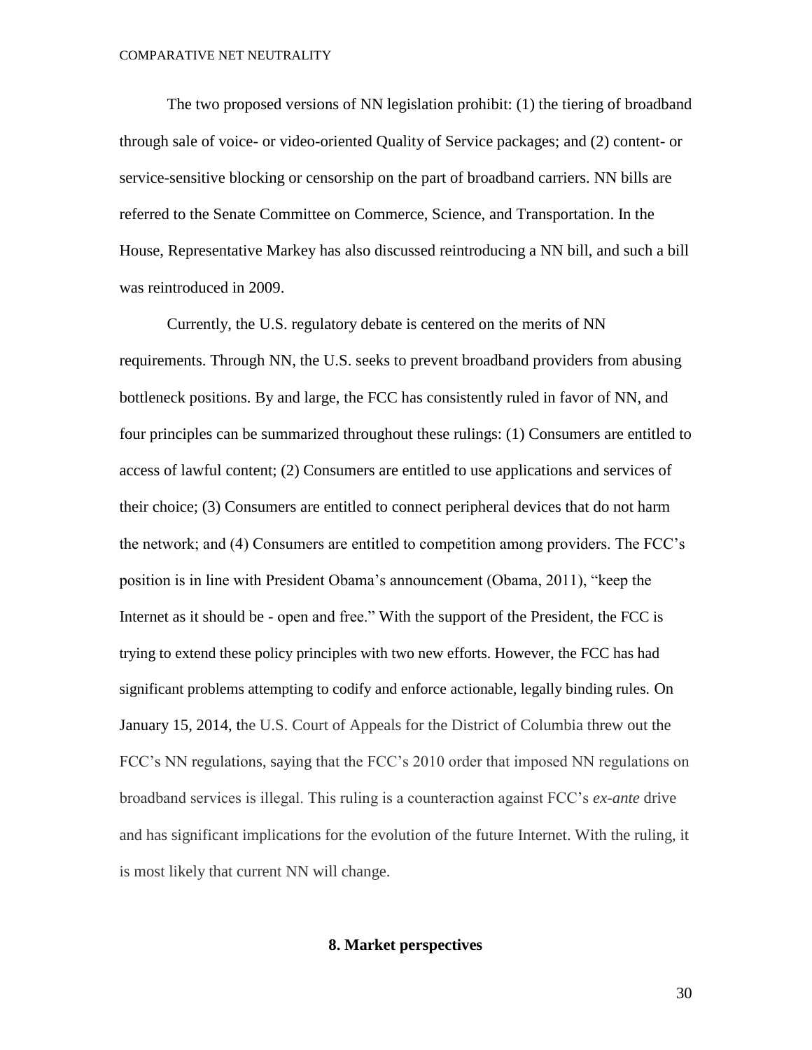The two proposed versions of NN legislation prohibit: (1) the tiering of broadband through sale of voice- or video-oriented Quality of Service packages; and (2) content- or service-sensitive blocking or censorship on the part of broadband carriers. NN bills are referred to the Senate Committee on Commerce, Science, and Transportation. In the House, Representative Markey has also discussed reintroducing a NN bill, and such a bill was reintroduced in 2009.

Currently, the U.S. regulatory debate is centered on the merits of NN requirements. Through NN, the U.S. seeks to prevent broadband providers from abusing bottleneck positions. By and large, the FCC has consistently ruled in favor of NN, and four principles can be summarized throughout these rulings: (1) Consumers are entitled to access of lawful content; (2) Consumers are entitled to use applications and services of their choice; (3) Consumers are entitled to connect peripheral devices that do not harm the network; and (4) Consumers are entitled to competition among providers. The FCC's position is in line with President Obama's announcement (Obama, 2011), "keep the Internet as it should be - open and free." With the support of the President, the FCC is trying to extend these policy principles with two new efforts. However, the FCC has had significant problems attempting to codify and enforce actionable, legally binding rules. On January 15, 2014, the U.S. Court of Appeals for the District of Columbia threw out the FCC's NN regulations, saying that the FCC's 2010 order that imposed NN regulations on broadband services is illegal. This ruling is a counteraction against FCC's *ex-ante* drive and has significant implications for the evolution of the future Internet. With the ruling, it is most likely that current NN will change.

#### **8. Market perspectives**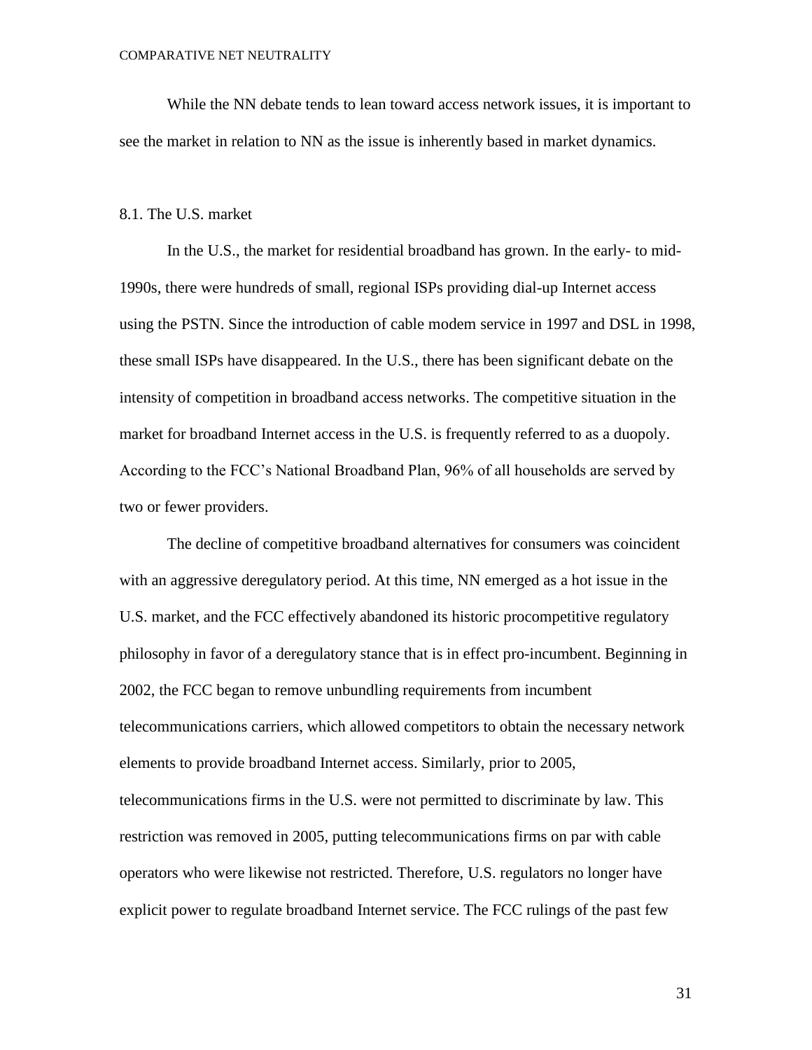While the NN debate tends to lean toward access network issues, it is important to see the market in relation to NN as the issue is inherently based in market dynamics.

#### 8.1. The U.S. market

In the U.S., the market for residential broadband has grown. In the early- to mid-1990s, there were hundreds of small, regional ISPs providing dial-up Internet access using the PSTN. Since the introduction of cable modem service in 1997 and DSL in 1998, these small ISPs have disappeared. In the U.S., there has been significant debate on the intensity of competition in broadband access networks. The competitive situation in the market for broadband Internet access in the U.S. is frequently referred to as a duopoly. According to the FCC's National Broadband Plan, 96% of all households are served by two or fewer providers.

The decline of competitive broadband alternatives for consumers was coincident with an aggressive deregulatory period. At this time, NN emerged as a hot issue in the U.S. market, and the FCC effectively abandoned its historic procompetitive regulatory philosophy in favor of a deregulatory stance that is in effect pro-incumbent. Beginning in 2002, the FCC began to remove unbundling requirements from incumbent telecommunications carriers, which allowed competitors to obtain the necessary network elements to provide broadband Internet access. Similarly, prior to 2005, telecommunications firms in the U.S. were not permitted to discriminate by law. This restriction was removed in 2005, putting telecommunications firms on par with cable operators who were likewise not restricted. Therefore, U.S. regulators no longer have explicit power to regulate broadband Internet service. The FCC rulings of the past few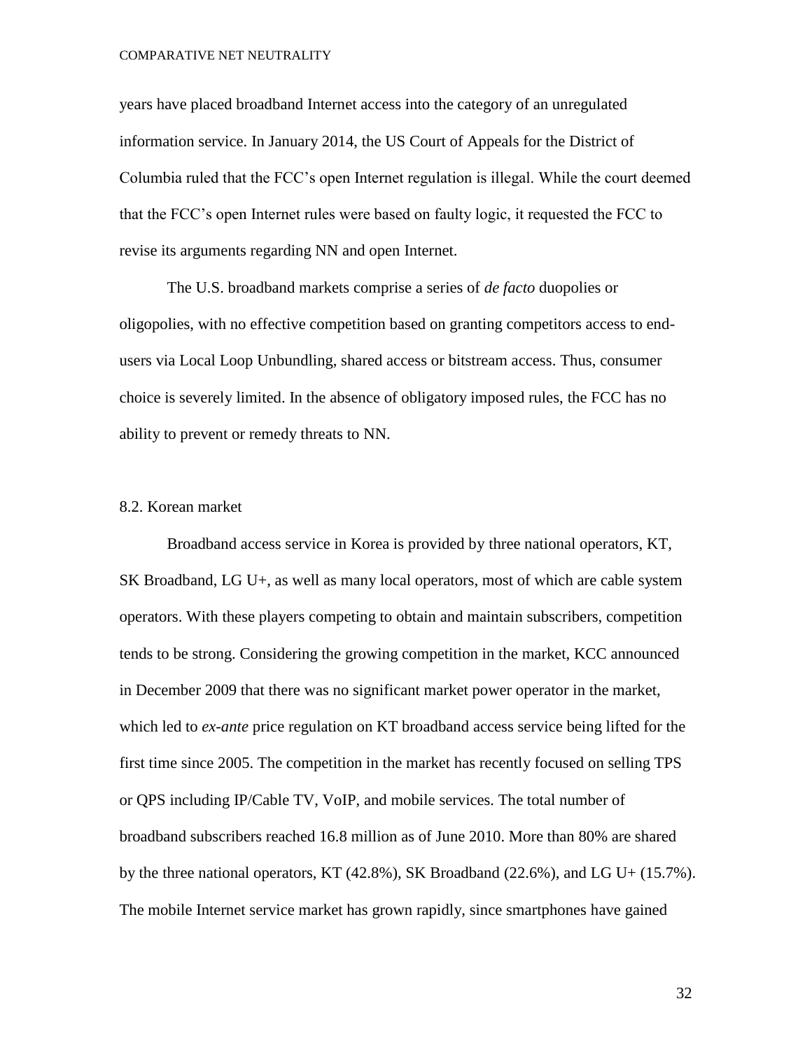years have placed broadband Internet access into the category of an unregulated information service. In January 2014, the US Court of Appeals for the District of Columbia ruled that the FCC's open Internet regulation is illegal. While the court deemed that the FCC's open Internet rules were based on faulty logic, it requested the FCC to revise its arguments regarding NN and open Internet.

The U.S. broadband markets comprise a series of *de facto* duopolies or oligopolies, with no effective competition based on granting competitors access to endusers via Local Loop Unbundling, shared access or bitstream access. Thus, consumer choice is severely limited. In the absence of obligatory imposed rules, the FCC has no ability to prevent or remedy threats to NN.

#### 8.2. Korean market

Broadband access service in Korea is provided by three national operators, KT, SK Broadband, LG U+, as well as many local operators, most of which are cable system operators. With these players competing to obtain and maintain subscribers, competition tends to be strong. Considering the growing competition in the market, KCC announced in December 2009 that there was no significant market power operator in the market, which led to *ex-ante* price regulation on KT broadband access service being lifted for the first time since 2005. The competition in the market has recently focused on selling TPS or QPS including IP/Cable TV, VoIP, and mobile services. The total number of broadband subscribers reached 16.8 million as of June 2010. More than 80% are shared by the three national operators, KT  $(42.8\%)$ , SK Broadband  $(22.6\%)$ , and LG U+  $(15.7\%)$ . The mobile Internet service market has grown rapidly, since smartphones have gained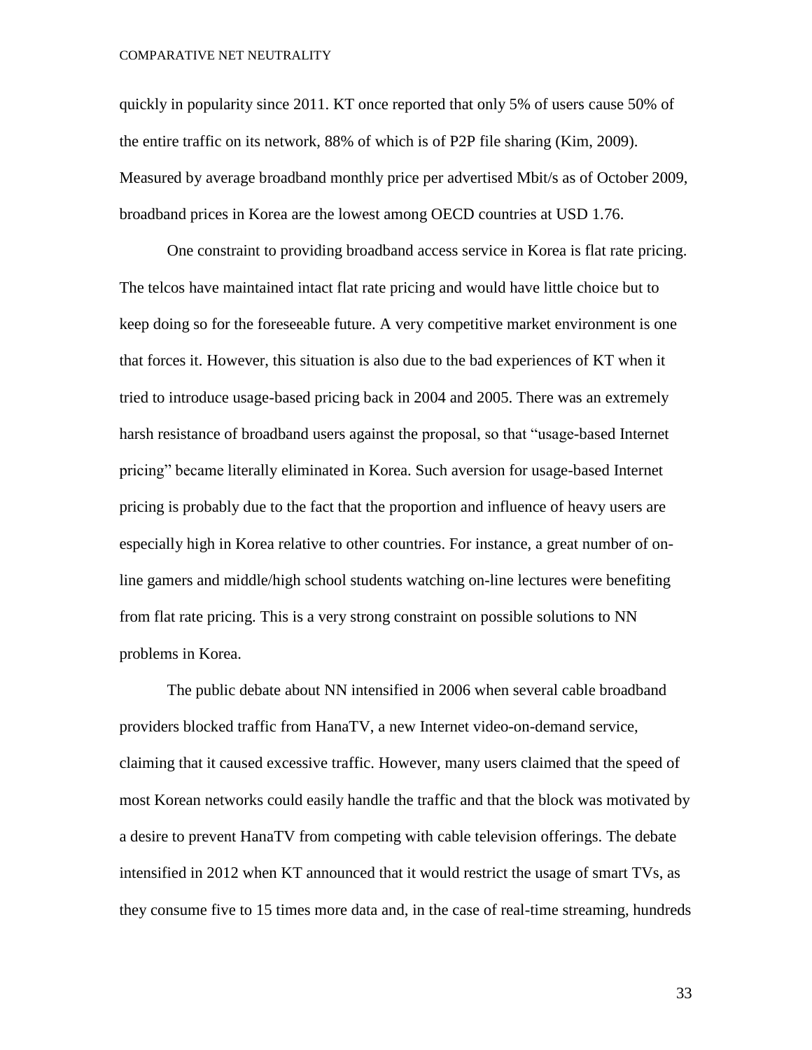quickly in popularity since 2011. KT once reported that only 5% of users cause 50% of the entire traffic on its network, 88% of which is of P2P file sharing (Kim, 2009). Measured by average broadband monthly price per advertised Mbit/s as of October 2009, broadband prices in Korea are the lowest among OECD countries at USD 1.76.

One constraint to providing broadband access service in Korea is flat rate pricing. The telcos have maintained intact flat rate pricing and would have little choice but to keep doing so for the foreseeable future. A very competitive market environment is one that forces it. However, this situation is also due to the bad experiences of KT when it tried to introduce usage-based pricing back in 2004 and 2005. There was an extremely harsh resistance of broadband users against the proposal, so that "usage-based Internet pricing" became literally eliminated in Korea. Such aversion for usage-based Internet pricing is probably due to the fact that the proportion and influence of heavy users are especially high in Korea relative to other countries. For instance, a great number of online gamers and middle/high school students watching on-line lectures were benefiting from flat rate pricing. This is a very strong constraint on possible solutions to NN problems in Korea.

The public debate about NN intensified in 2006 when several cable broadband providers blocked traffic from HanaTV, a new Internet video-on-demand service, claiming that it caused excessive traffic. However, many users claimed that the speed of most Korean networks could easily handle the traffic and that the block was motivated by a desire to prevent HanaTV from competing with cable television offerings. The debate intensified in 2012 when KT announced that it would restrict the usage of smart TVs, as they consume five to 15 times more data and, in the case of real-time streaming, hundreds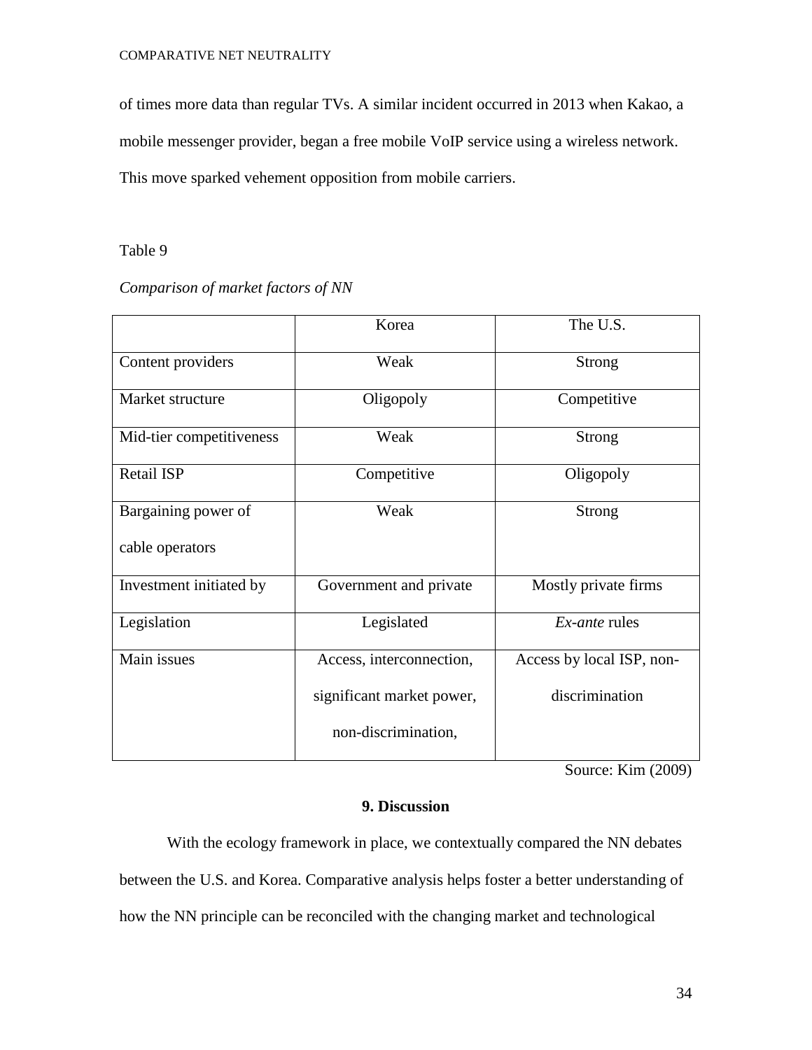of times more data than regular TVs. A similar incident occurred in 2013 when Kakao, a mobile messenger provider, began a free mobile VoIP service using a wireless network. This move sparked vehement opposition from mobile carriers.

# Table 9

# *Comparison of market factors of NN*

|                          | Korea                     | The U.S.                  |
|--------------------------|---------------------------|---------------------------|
| Content providers        | Weak                      | <b>Strong</b>             |
| Market structure         | Oligopoly                 | Competitive               |
| Mid-tier competitiveness | Weak                      | <b>Strong</b>             |
| Retail ISP               | Competitive               | Oligopoly                 |
| Bargaining power of      | Weak                      | <b>Strong</b>             |
| cable operators          |                           |                           |
| Investment initiated by  | Government and private    | Mostly private firms      |
| Legislation              | Legislated                | <i>Ex-ante</i> rules      |
| Main issues              | Access, interconnection,  | Access by local ISP, non- |
|                          | significant market power, | discrimination            |
|                          | non-discrimination,       |                           |

Source: Kim (2009)

# **9. Discussion**

With the ecology framework in place, we contextually compared the NN debates between the U.S. and Korea. Comparative analysis helps foster a better understanding of how the NN principle can be reconciled with the changing market and technological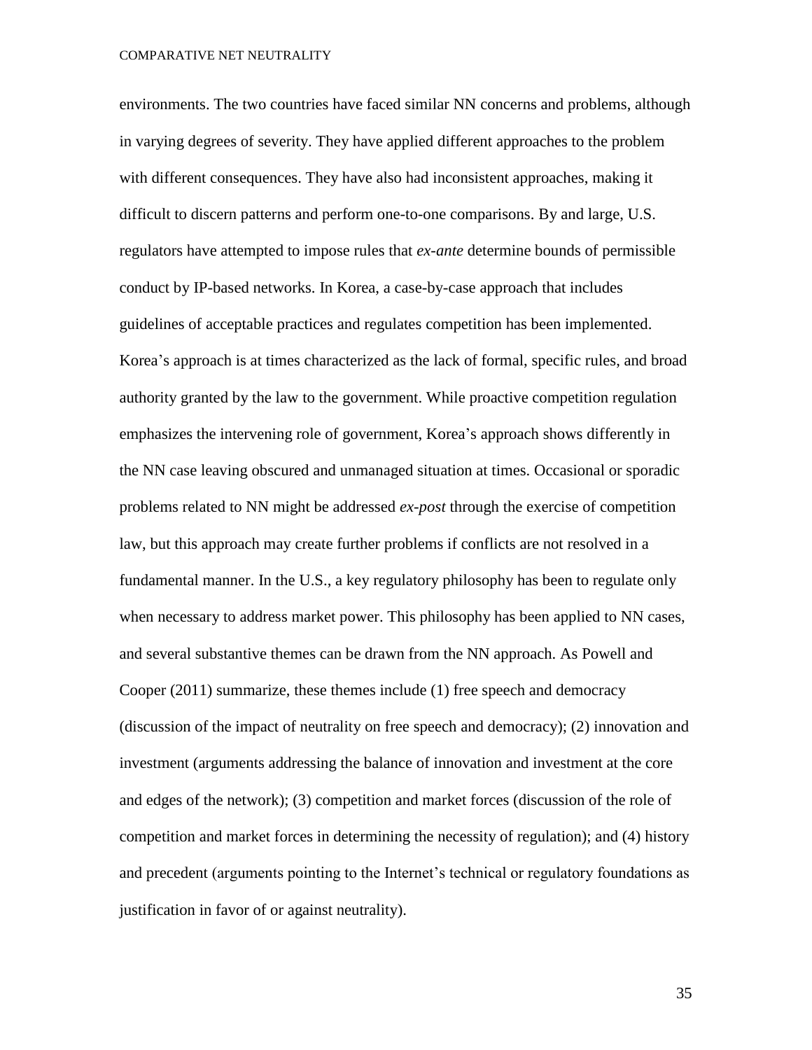environments. The two countries have faced similar NN concerns and problems, although in varying degrees of severity. They have applied different approaches to the problem with different consequences. They have also had inconsistent approaches, making it difficult to discern patterns and perform one-to-one comparisons. By and large, U.S. regulators have attempted to impose rules that *ex-ante* determine bounds of permissible conduct by IP-based networks. In Korea, a case-by-case approach that includes guidelines of acceptable practices and regulates competition has been implemented. Korea's approach is at times characterized as the lack of formal, specific rules, and broad authority granted by the law to the government. While proactive competition regulation emphasizes the intervening role of government, Korea's approach shows differently in the NN case leaving obscured and unmanaged situation at times. Occasional or sporadic problems related to NN might be addressed *ex-post* through the exercise of competition law, but this approach may create further problems if conflicts are not resolved in a fundamental manner. In the U.S., a key regulatory philosophy has been to regulate only when necessary to address market power. This philosophy has been applied to NN cases, and several substantive themes can be drawn from the NN approach. As Powell and Cooper (2011) summarize, these themes include (1) free speech and democracy (discussion of the impact of neutrality on free speech and democracy); (2) innovation and investment (arguments addressing the balance of innovation and investment at the core and edges of the network); (3) competition and market forces (discussion of the role of competition and market forces in determining the necessity of regulation); and (4) history and precedent (arguments pointing to the Internet's technical or regulatory foundations as justification in favor of or against neutrality).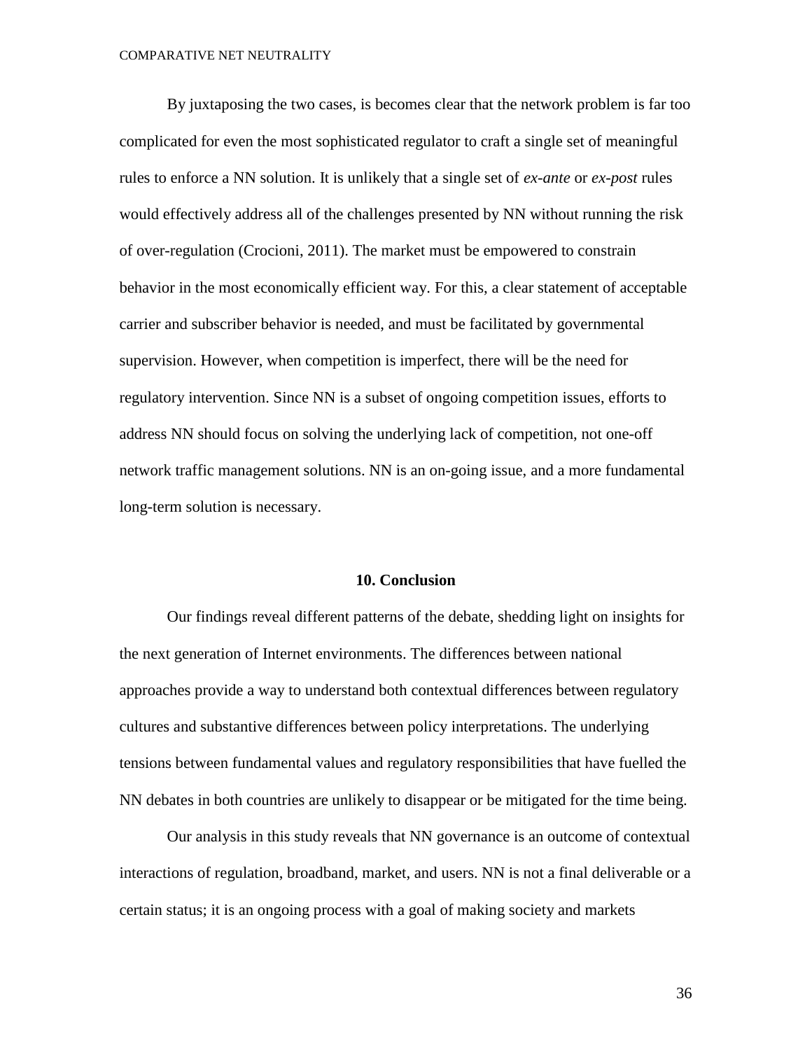By juxtaposing the two cases, is becomes clear that the network problem is far too complicated for even the most sophisticated regulator to craft a single set of meaningful rules to enforce a NN solution. It is unlikely that a single set of *ex-ante* or *ex-post* rules would effectively address all of the challenges presented by NN without running the risk of over-regulation (Crocioni, 2011). The market must be empowered to constrain behavior in the most economically efficient way. For this, a clear statement of acceptable carrier and subscriber behavior is needed, and must be facilitated by governmental supervision. However, when competition is imperfect, there will be the need for regulatory intervention. Since NN is a subset of ongoing competition issues, efforts to address NN should focus on solving the underlying lack of competition, not one-off network traffic management solutions. NN is an on-going issue, and a more fundamental long-term solution is necessary.

#### **10. Conclusion**

Our findings reveal different patterns of the debate, shedding light on insights for the next generation of Internet environments. The differences between national approaches provide a way to understand both contextual differences between regulatory cultures and substantive differences between policy interpretations. The underlying tensions between fundamental values and regulatory responsibilities that have fuelled the NN debates in both countries are unlikely to disappear or be mitigated for the time being.

Our analysis in this study reveals that NN governance is an outcome of contextual interactions of regulation, broadband, market, and users. NN is not a final deliverable or a certain status; it is an ongoing process with a goal of making society and markets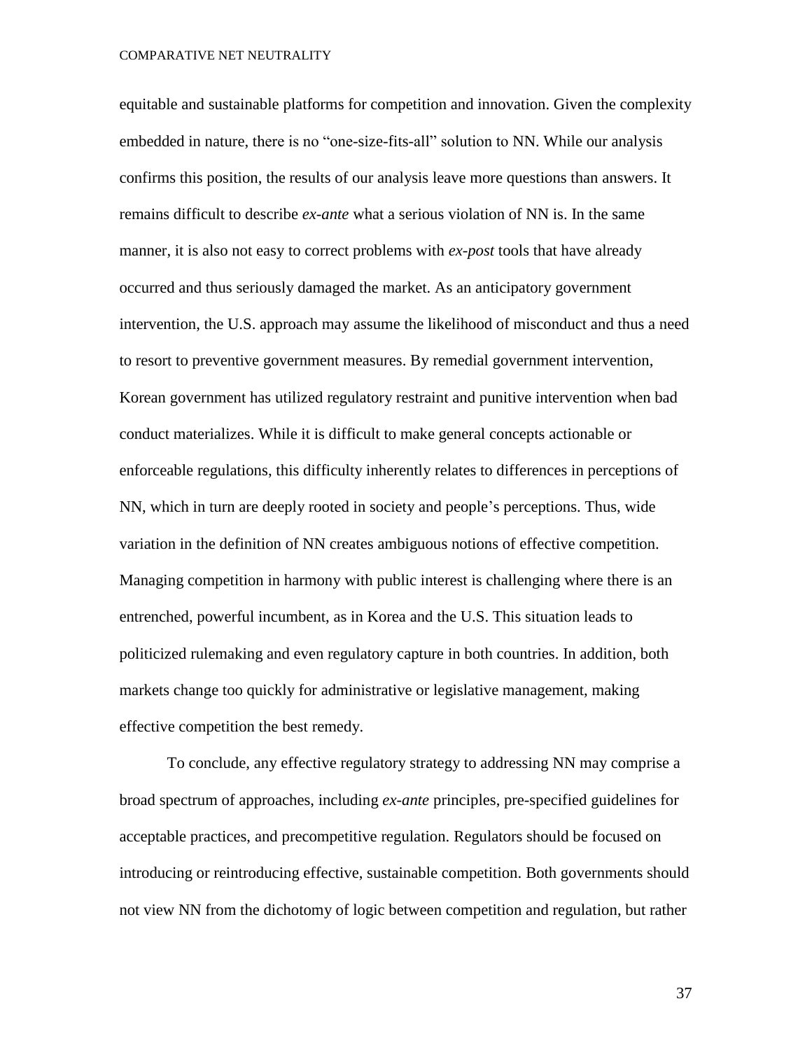equitable and sustainable platforms for competition and innovation. Given the complexity embedded in nature, there is no "one-size-fits-all" solution to NN. While our analysis confirms this position, the results of our analysis leave more questions than answers. It remains difficult to describe *ex-ante* what a serious violation of NN is. In the same manner, it is also not easy to correct problems with *ex-post* tools that have already occurred and thus seriously damaged the market. As an anticipatory government intervention, the U.S. approach may assume the likelihood of misconduct and thus a need to resort to preventive government measures. By remedial government intervention, Korean government has utilized regulatory restraint and punitive intervention when bad conduct materializes. While it is difficult to make general concepts actionable or enforceable regulations, this difficulty inherently relates to differences in perceptions of NN, which in turn are deeply rooted in society and people's perceptions. Thus, wide variation in the definition of NN creates ambiguous notions of effective competition. Managing competition in harmony with public interest is challenging where there is an entrenched, powerful incumbent, as in Korea and the U.S. This situation leads to politicized rulemaking and even regulatory capture in both countries. In addition, both markets change too quickly for administrative or legislative management, making effective competition the best remedy.

To conclude, any effective regulatory strategy to addressing NN may comprise a broad spectrum of approaches, including *ex-ante* principles, pre-specified guidelines for acceptable practices, and precompetitive regulation. Regulators should be focused on introducing or reintroducing effective, sustainable competition. Both governments should not view NN from the dichotomy of logic between competition and regulation, but rather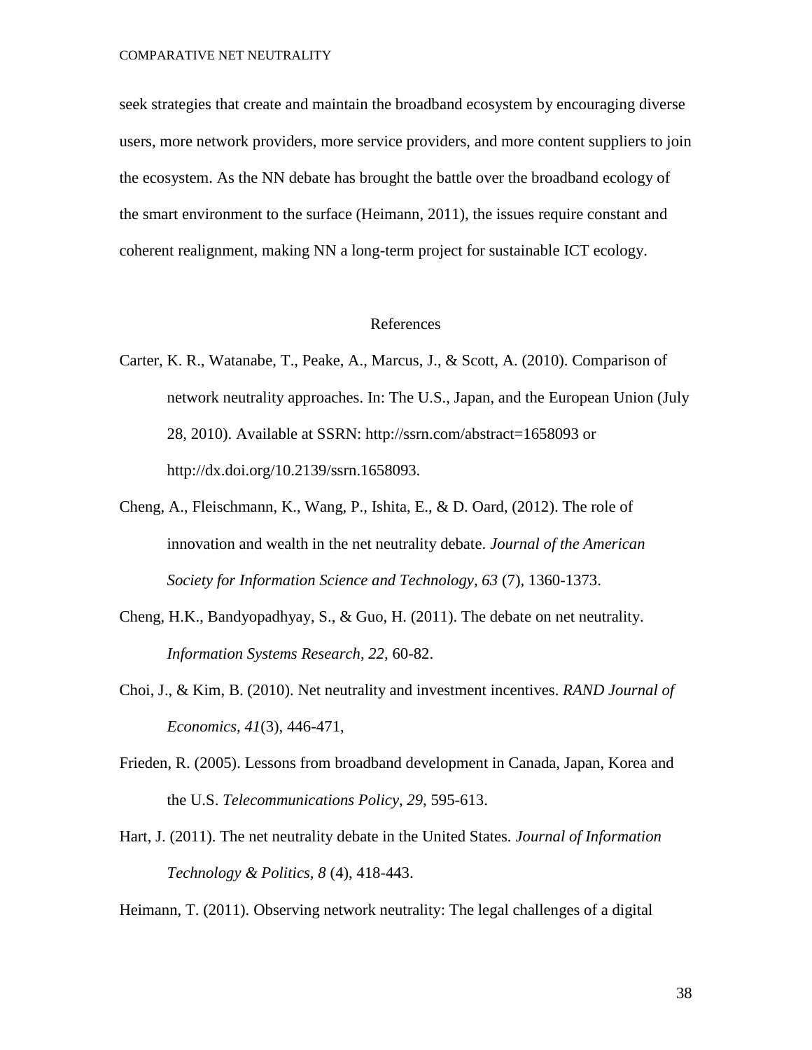seek strategies that create and maintain the broadband ecosystem by encouraging diverse users, more network providers, more service providers, and more content suppliers to join the ecosystem. As the NN debate has brought the battle over the broadband ecology of the smart environment to the surface (Heimann, 2011), the issues require constant and coherent realignment, making NN a long-term project for sustainable ICT ecology.

#### References

- Carter, K. R., Watanabe, T., Peake, A., Marcus, J., & Scott, A. (2010). Comparison of network neutrality approaches. In: The U.S., Japan, and the European Union (July 28, 2010). Available at SSRN: http://ssrn.com/abstract=1658093 or http://dx.doi.org/10.2139/ssrn.1658093.
- Cheng, A., Fleischmann, K., Wang, P., Ishita, E., & D. Oard,  $(2012)$ . The role of innovation and wealth in the net neutrality debate. *Journal of the American Society for Information Science and Technology, 63* (7), 1360-1373.
- Cheng, H.K., Bandyopadhyay, S., & Guo, H. (2011). The debate on net neutrality. *Information Systems Research, 22,* 60-82.
- Choi, J., & Kim, B. (2010). Net neutrality and investment incentives. *RAND Journal of Economics, 41*(3), 446-471,
- Frieden, R. (2005). Lessons from broadband development in Canada, Japan, Korea and the U.S. *Telecommunications Policy*, *29*, 595-613.
- Hart, J. (2011). The net neutrality debate in the United States*. Journal of Information Technology & Politics, 8* (4), 418-443.

Heimann, T. (2011). Observing network neutrality: The legal challenges of a digital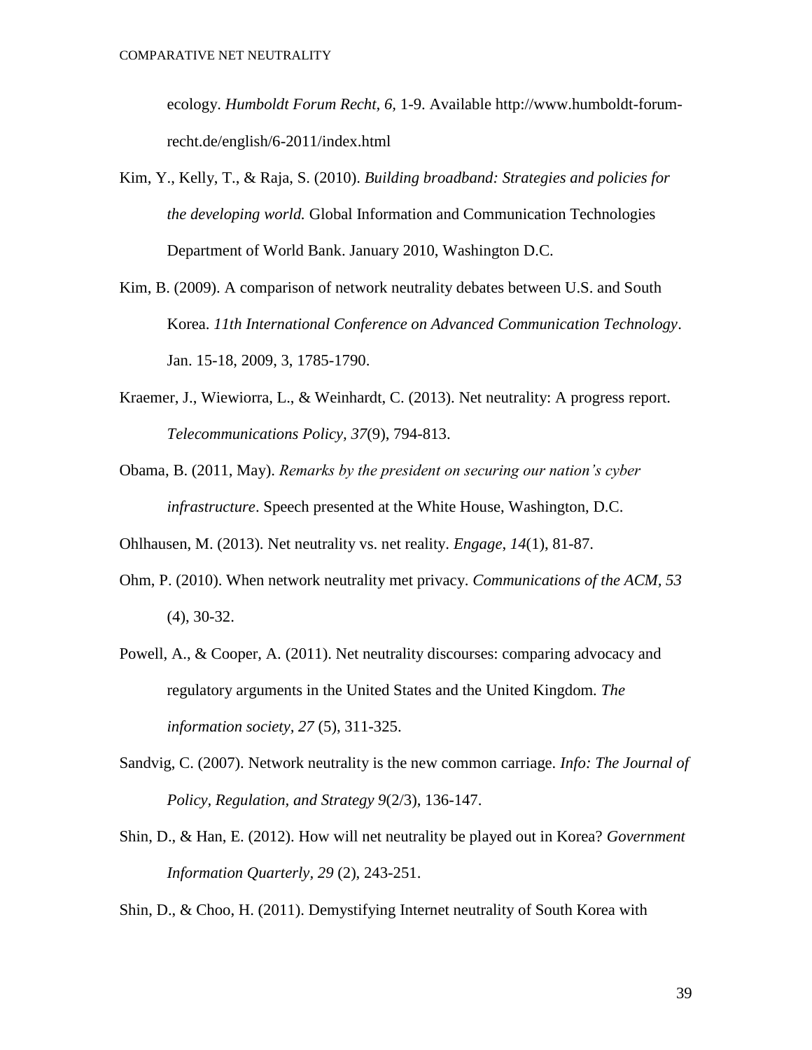ecology. *Humboldt Forum Recht, 6,* 1-9. Available http://www.humboldt-forumrecht.de/english/6-2011/index.html

- Kim, Y., Kelly, T., & Raja, S. (2010). *Building broadband: Strategies and policies for the developing world.* Global Information and Communication Technologies Department of World Bank. January 2010, Washington D.C.
- Kim, B. (2009). A comparison of network neutrality debates between U.S. and South Korea. *11th International Conference on Advanced Communication Technology*. Jan. 15-18, 2009, 3, 1785-1790.
- Kraemer, J., Wiewiorra, L., & Weinhardt, C. (2013). Net neutrality: A progress report. *Telecommunications Policy, 37*(9), 794-813.
- Obama, B. (2011, May). *Remarks by the president on securing our nation's cyber infrastructure*. Speech presented at the White House, Washington, D.C.

Ohlhausen, M. (2013). Net neutrality vs. net reality. *Engage*, *14*(1), 81-87.

- Ohm, P. (2010). When network neutrality met privacy. *Communications of the ACM, 53* (4), 30-32.
- Powell, A., & Cooper, A. (2011). Net neutrality discourses: comparing advocacy and regulatory arguments in the United States and the United Kingdom*. The information society, 27* (5), 311-325.
- Sandvig, C. (2007). Network neutrality is the new common carriage. *Info: The Journal of Policy, Regulation, and Strategy 9*(2/3), 136-147.
- Shin, D., & Han, E. (2012). How will net neutrality be played out in Korea? *Government Information Quarterly, 29* (2), 243-251.

Shin, D., & Choo, H. (2011). Demystifying Internet neutrality of South Korea with